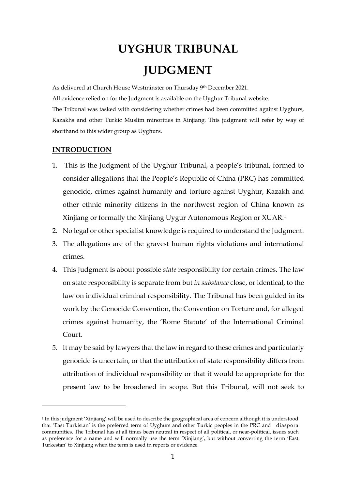# **UYGHUR TRIBUNAL JUDGMENT**

As delivered at Church House Westminster on Thursday 9th December 2021. All evidence relied on for the Judgment is available on the Uyghur Tribunal website. The Tribunal was tasked with considering whether crimes had been committed against Uyghurs, Kazakhs and other Turkic Muslim minorities in Xinjiang. This judgment will refer by way of shorthand to this wider group as Uyghurs.

# **INTRODUCTION**

- 1. This is the Judgment of the Uyghur Tribunal, a people's tribunal, formed to consider allegations that the People's Republic of China (PRC) has committed genocide, crimes against humanity and torture against Uyghur, Kazakh and other ethnic minority citizens in the northwest region of China known as Xinjiang or formally the Xinjiang Uygur Autonomous Region or XUAR. 1
- 2. No legal or other specialist knowledge is required to understand the Judgment.
- 3. The allegations are of the gravest human rights violations and international crimes.
- 4. This Judgment is about possible *state* responsibility for certain crimes. The law on state responsibility is separate from but *in substance* close, or identical, to the law on individual criminal responsibility. The Tribunal has been guided in its work by the Genocide Convention, the Convention on Torture and, for alleged crimes against humanity, the 'Rome Statute' of the International Criminal Court.
- 5. It may be said by lawyers that the law in regard to these crimes and particularly genocide is uncertain, or that the attribution of state responsibility differs from attribution of individual responsibility or that it would be appropriate for the present law to be broadened in scope. But this Tribunal, will not seek to

<sup>1</sup> In this judgment 'Xinjiang' will be used to describe the geographical area of concern although it is understood that 'East Turkistan' is the preferred term of Uyghurs and other Turkic peoples in the PRC and diaspora communities. The Tribunal has at all times been neutral in respect of all political, or near-political, issues such as preference for a name and will normally use the term 'Xinjiang', but without converting the term 'East Turkestan' to Xinjiang when the term is used in reports or evidence.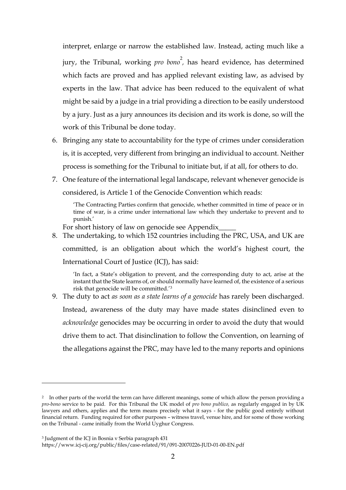interpret, enlarge or narrow the established law. Instead, acting much like a jury, the Tribunal, working *pro bono*<sup>2</sup>, has heard evidence, has determined which facts are proved and has applied relevant existing law, as advised by experts in the law. That advice has been reduced to the equivalent of what might be said by a judge in a trial providing a direction to be easily understood by a jury. Just as a jury announces its decision and its work is done, so will the work of this Tribunal be done today.

- 6. Bringing any state to accountability for the type of crimes under consideration is, it is accepted, very different from bringing an individual to account. Neither process is something for the Tribunal to initiate but, if at all, for others to do.
- 7. One feature of the international legal landscape, relevant whenever genocide is considered, is Article 1 of the Genocide Convention which reads:

'The Contracting Parties confirm that genocide, whether committed in time of peace or in time of war, is a crime under international law which they undertake to prevent and to punish.'

For short history of law on genocide see Appendix\_

8. The undertaking, to which 152 countries including the PRC, USA, and UK are committed, is an obligation about which the world's highest court, the International Court of Justice (ICJ), has said:

'In fact, a State's obligation to prevent, and the corresponding duty to act, arise at the instant that the State learns of, or should normally have learned of, the existence of a serious risk that genocide will be committed.'<sup>3</sup>

9. The duty to act *as soon as a state learns of a genocide* has rarely been discharged. Instead, awareness of the duty may have made states disinclined even to *acknowledge* genocides may be occurring in order to avoid the duty that would drive them to act. That disinclination to follow the Convention, on learning of the allegations against the PRC, may have led to the many reports and opinions

<sup>3</sup> Judgment of the ICJ in Bosnia v Serbia paragraph 431

<sup>2</sup> In other parts of the world the term can have different meanings, some of which allow the person providing a *pro-bono* service to be paid. For this Tribunal the UK model of *pro bono publico,* as regularly engaged in by UK lawyers and others, applies and the term means precisely what it says - for the public good entirely without financial return. Funding required for other purposes – witness travel, venue hire, and for some of those working on the Tribunal - came initially from the World Uyghur Congress.

https://www.icj-cij.org/public/files/case-related/91/091-20070226-JUD-01-00-EN.pdf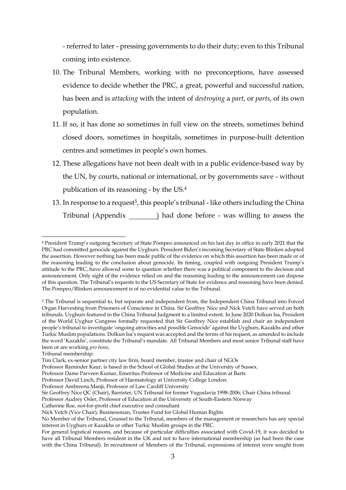- referred to later - pressing governments to do their duty; even to this Tribunal coming into existence.

- 10. The Tribunal Members, working with no preconceptions, have assessed evidence to decide whether the PRC, a great, powerful and successful nation, has been and is *attacking* with the intent of *destroying* a *part*, or *parts*, of its own population.
- 11. If so, it has done so sometimes in full view on the streets, sometimes behind closed doors, sometimes in hospitals, sometimes in purpose-built detention centres and sometimes in people's own homes.
- 12. These allegations have not been dealt with in a public evidence-based way by the UN, by courts, national or international, or by governments save - without publication of its reasoning - by the US.<sup>4</sup>
- 13. In response to a request<sup>5</sup>, this people's tribunal like others including the China Tribunal (Appendix ) had done before - was willing to assess the

<sup>4</sup> President Trump's outgoing Secretary of State Pompeo announced on his last day in office in early 2021 that the PRC had committed genocide against the Uyghurs. President Biden's incoming Secretary of State Blinken adopted the assertion. However nothing has been made public of the evidence on which this assertion has been made or of the reasoning leading to the conclusion about genocide. Its timing, coupled with outgoing President Trump's attitude to the PRC, have allowed some to question whether there was a political component to the decision and announcement. Only sight of the evidence relied on and the reasoning leading to the announcement can dispose of this question. The Tribunal's requests to the US Secretary of State for evidence and reasoning have been denied. The Pompeo/Blinken announcement is of no evidential value to the Tribunal.

<sup>5</sup> The Tribunal is sequential to, but separate and independent from, the Independent China Tribunal into Forced Organ Harvesting from Prisoners of Conscience in China. Sir Geoffrey Nice and Nick Vetch have served on both tribunals. Uyghurs featured in the China Tribunal Judgment to a limited extent. In June 2020 Dolkun Isa, President of the World Uyghur Congress formally requested that Sir Geoffrey Nice establish and chair an independent people's tribunal to investigate 'ongoing atrocities and possible Genocide' against the Uyghurs, Kazakhs and other Turkic Muslim populations. Dolkun Isa's request was accepted and the terms of his request, as amended to include the word 'Kazakhs', constitute the Tribunal's mandate. All Tribunal Members and most senior Tribunal staff have been or are working *pro bono*,

Tribunal membership:

Tim Clark, ex-senior partner city law firm, board member, trustee and chair of NGOs

Professor Raminder Kaur, is based in the School of Global Studies at the University of Sussex.

Professor Dame Parveen Kumar, Emeritus Professor of Medicine and Education at Barts

Professor David Linch, Professor of Haematology at University College London.

Professor Ambreena Manji, Professor of Law Cardiff University

Sir Geoffrey Nice QC (Chair), Barrister; UN Tribunal for former Yugoslavia 1998-2006; Chair China tribunal

Professor Audrey Osler, Professor of Education at the University of South-Eastern Norway

Catherine Roe, not-for-profit chief executive and consultant

Nick Vetch (Vice Chair), Businessman, Trustee Fund for Global Human Rights

No Member of the Tribunal, Counsel to the Tribunal, members of the management or researchers has any special interest in Uyghurs or Kazakhs or other Turkic Muslim groups in the PRC.

For general logistical reasons, and because of particular difficulties associated with Covid-19, it was decided to have all Tribunal Members resident in the UK and not to have international membership (as had been the case with the China Tribunal). In recruitment of Members of the Tribunal, expressions of interest were sought from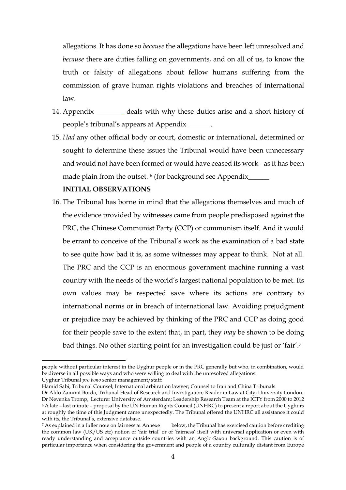allegations. It has done so *because* the allegations have been left unresolved and *because* there are duties falling on governments, and on all of us, to know the truth or falsity of allegations about fellow humans suffering from the commission of grave human rights violations and breaches of international law.

- 14. Appendix deals with why these duties arise and a short history of people's tribunal's appears at Appendix .
- 15. *Had* any other official body or court, domestic or international, determined or sought to determine these issues the Tribunal would have been unnecessary and would not have been formed or would have ceased its work - as it has been made plain from the outset. <sup>6</sup> (for background see Appendix\_\_\_\_\_\_\_

#### **INITIAL OBSERVATIONS**

16. The Tribunal has borne in mind that the allegations themselves and much of the evidence provided by witnesses came from people predisposed against the PRC, the Chinese Communist Party (CCP) or communism itself. And it would be errant to conceive of the Tribunal's work as the examination of a bad state to see quite how bad it is, as some witnesses may appear to think. Not at all. The PRC and the CCP is an enormous government machine running a vast country with the needs of the world's largest national population to be met. Its own values may be respected save where its actions are contrary to international norms or in breach of international law. Avoiding prejudgment or prejudice may be achieved by thinking of the PRC and CCP as doing good for their people save to the extent that, in part, they *may* be shown to be doing bad things. No other starting point for an investigation could be just or 'fair'.<sup>7</sup>

people without particular interest in the Uyghur people or in the PRC generally but who, in combination, would be diverse in all possible ways and who were willing to deal with the unresolved allegations.

Uyghur Tribunal *pro bono* senior management/staff:

Hamid Sabi, Tribunal Counsel; International arbitration lawyer; Counsel to Iran and China Tribunals.

Dr Aldo Zammit Borda, Tribunal Head of Research and Investigation; Reader in Law at City, University London. Dr Nevenka Tromp, Lecturer University of Amsterdam; Leadership Research Team at the ICTY from 2000 to 2012 <sup>6</sup> A late – last minute – proposal by the UN Human Rights Council (UNHRC) to present a report about the Uyghurs at roughly the time of this Judgment came unexpectedly. The Tribunal offered the UNHRC all assistance it could with its, the Tribunal's, extensive database.

<sup>&</sup>lt;sup>7</sup> As explained in a fuller note on fairness at Annexe\_\_\_\_below, the Tribunal has exercised caution before crediting the common law (UK/US etc) notion of 'fair trial' or of 'fairness' itself with universal application or even with ready understanding and acceptance outside countries with an Anglo-Saxon background. This caution is of particular importance when considering the government and people of a country culturally distant from Europe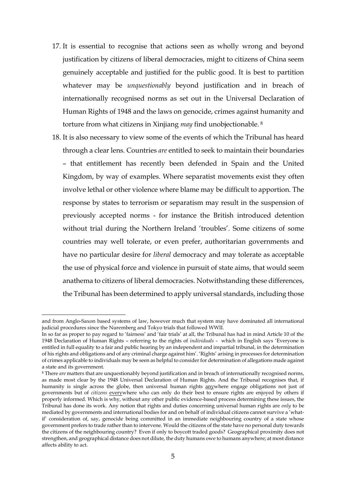- 17. It is essential to recognise that actions seen as wholly wrong and beyond justification by citizens of liberal democracies, might to citizens of China seem genuinely acceptable and justified for the public good. It is best to partition whatever may be *unquestionably* beyond justification and in breach of internationally recognised norms as set out in the Universal Declaration of Human Rights of 1948 and the laws on genocide, crimes against humanity and torture from what citizens in Xinjiang *may* find unobjectionable. <sup>8</sup>
- 18. It is also necessary to view some of the events of which the Tribunal has heard through a clear lens. Countries *are* entitled to seek to maintain their boundaries – that entitlement has recently been defended in Spain and the United Kingdom, by way of examples. Where separatist movements exist they often involve lethal or other violence where blame may be difficult to apportion. The response by states to terrorism or separatism may result in the suspension of previously accepted norms - for instance the British introduced detention without trial during the Northern Ireland 'troubles'. Some citizens of some countries may well tolerate, or even prefer, authoritarian governments and have no particular desire for *liberal* democracy and may tolerate as acceptable the use of physical force and violence in pursuit of state aims, that would seem anathema to citizens of liberal democracies. Notwithstanding these differences, the Tribunal has been determined to apply universal standards, including those

and from Anglo-Saxon based systems of law, however much that system may have dominated all international judicial procedures since the Nuremberg and Tokyo trials that followed WWII.

In so far as proper to pay regard to 'fairness' and 'fair trials' at all, the Tribunal has had in mind Article 10 of the 1948 Declaration of Human Rights – referring to the rights of *individuals* - which in English says 'Everyone is entitled in full equality to a fair and public hearing by an independent and impartial tribunal, in the determination of his rights and obligations and of any criminal charge against him'. 'Rights' arising in processes for determination of crimes applicable to individuals may be seen as helpful to consider for determination of allegations made against a state and its government.

<sup>8</sup> There *are* matters that are unquestionably beyond justification and in breach of internationally recognised norms, as made most clear by the 1948 Universal Declaration of Human Rights. And the Tribunal recognises that, if humanity is single across the globe, then universal human rights anywhere engage obligations not just of governments but of *citizens* everywhere who can only do their best to ensure rights are enjoyed by others if properly informed. Which is why, without any other public evidence-based process determining these issues, the Tribunal has done its work. Any notion that rights and duties concerning universal human rights are *only* to be mediated by governments and international bodies for and on behalf of individual citizens cannot survive a 'whatif' consideration of, say, genocide being committed in an immediate neighbouring country of a state whose government prefers to trade rather than to intervene. Would the citizens of the state have no personal duty towards the citizens of the neighbouring country? Even if only to boycott traded goods? Geographical proximity does not strengthen, and geographical distance does not dilute, the duty humans owe to humans anywhere; at most distance affects ability to act.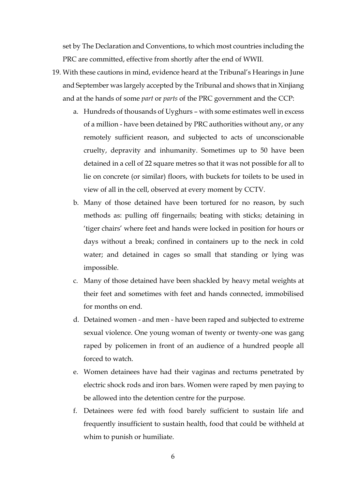set by The Declaration and Conventions, to which most countries including the PRC are committed, effective from shortly after the end of WWII.

- 19. With these cautions in mind, evidence heard at the Tribunal's Hearings in June and September was largely accepted by the Tribunal and shows that in Xinjiang and at the hands of some *part* or *parts* of the PRC government and the CCP:
	- a. Hundreds of thousands of Uyghurs with some estimates well in excess of a million - have been detained by PRC authorities without any, or any remotely sufficient reason, and subjected to acts of unconscionable cruelty, depravity and inhumanity. Sometimes up to 50 have been detained in a cell of 22 square metres so that it was not possible for all to lie on concrete (or similar) floors, with buckets for toilets to be used in view of all in the cell, observed at every moment by CCTV.
	- b. Many of those detained have been tortured for no reason, by such methods as: pulling off fingernails; beating with sticks; detaining in 'tiger chairs' where feet and hands were locked in position for hours or days without a break; confined in containers up to the neck in cold water; and detained in cages so small that standing or lying was impossible.
	- c. Many of those detained have been shackled by heavy metal weights at their feet and sometimes with feet and hands connected, immobilised for months on end.
	- d. Detained women and men have been raped and subjected to extreme sexual violence. One young woman of twenty or twenty-one was gang raped by policemen in front of an audience of a hundred people all forced to watch.
	- e. Women detainees have had their vaginas and rectums penetrated by electric shock rods and iron bars. Women were raped by men paying to be allowed into the detention centre for the purpose.
	- f. Detainees were fed with food barely sufficient to sustain life and frequently insufficient to sustain health, food that could be withheld at whim to punish or humiliate.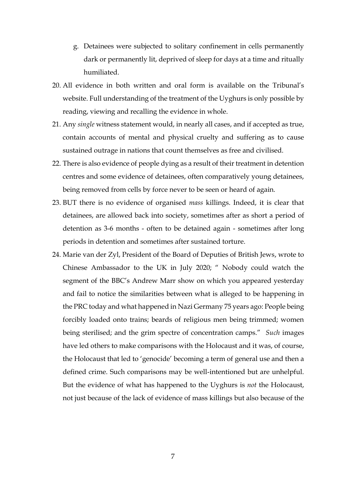- g. Detainees were subjected to solitary confinement in cells permanently dark or permanently lit, deprived of sleep for days at a time and ritually humiliated.
- 20. All evidence in both written and oral form is available on the Tribunal's website. Full understanding of the treatment of the Uyghurs is only possible by reading, viewing and recalling the evidence in whole.
- 21. Any *single* witness statement would, in nearly all cases, and if accepted as true, contain accounts of mental and physical cruelty and suffering as to cause sustained outrage in nations that count themselves as free and civilised.
- 22. There is also evidence of people dying as a result of their treatment in detention centres and some evidence of detainees, often comparatively young detainees, being removed from cells by force never to be seen or heard of again.
- 23. BUT there is no evidence of organised *mass* killings. Indeed, it is clear that detainees, are allowed back into society, sometimes after as short a period of detention as 3-6 months - often to be detained again - sometimes after long periods in detention and sometimes after sustained torture.
- 24. Marie van der Zyl, President of the Board of Deputies of British Jews, wrote to Chinese Ambassador to the UK in July 2020; " Nobody could watch the segment of the BBC's Andrew Marr show on which you appeared yesterday and fail to notice the similarities between what is alleged to be happening in the PRC today and what happened in Nazi Germany 75 years ago: People being forcibly loaded onto trains; beards of religious men being trimmed; women being sterilised; and the grim spectre of concentration camps." *Such* images have led others to make comparisons with the Holocaust and it was, of course, the Holocaust that led to 'genocide' becoming a term of general use and then a defined crime. Such comparisons may be well-intentioned but are unhelpful. But the evidence of what has happened to the Uyghurs is *not* the Holocaust, not just because of the lack of evidence of mass killings but also because of the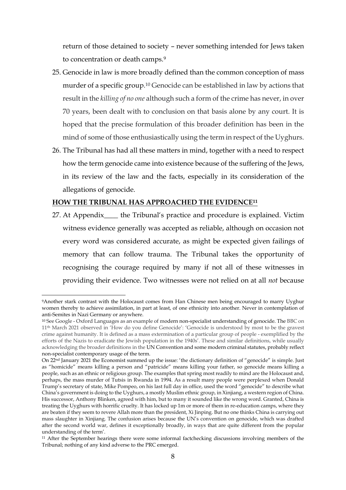return of those detained to society – never something intended for Jews taken to concentration or death camps.<sup>9</sup>

- 25. Genocide in law is more broadly defined than the common conception of mass murder of a specific group. <sup>10</sup> Genocide can be established in law by actions that result in the *killing of no one* although such a form of the crime has never, in over 70 years, been dealt with to conclusion on that basis alone by any court. It is hoped that the precise formulation of this broader definition has been in the mind of some of those enthusiastically using the term in respect of the Uyghurs.
- 26. The Tribunal has had all these matters in mind, together with a need to respect how the term genocide came into existence because of the suffering of the Jews, in its review of the law and the facts, especially in its consideration of the allegations of genocide.

# **HOW THE TRIBUNAL HAS APPROACHED THE EVIDENCE<sup>11</sup>**

<u>.</u>

27. At Appendix\_\_\_\_ the Tribunal's practice and procedure is explained. Victim witness evidence generally was accepted as reliable, although on occasion not every word was considered accurate, as might be expected given failings of memory that can follow trauma. The Tribunal takes the opportunity of recognising the courage required by many if not all of these witnesses in providing their evidence. Two witnesses were not relied on at all *not* because

<sup>9</sup>Another stark contrast with the Holocaust comes from Han Chinese men being encouraged to marry Uyghur women thereby to achieve assimilation, in part at least, of one ethnicity into another. Never in contemplation of anti-Semites in Nazi Germany or anywhere.

<sup>10</sup> See Google - Oxford Languages as an example of modern non-specialist understanding of genocide. The BBC on 11th March 2021 observed in 'How do you define Genocide': 'Genocide is understood by most to be the gravest crime against humanity. It is defined as a mass extermination of a particular group of people - exemplified by the efforts of the Nazis to eradicate the Jewish population in the 1940s'. These and similar definitions, while usually acknowledging the broader definitions in the UN Convention and some modern criminal statutes, probably reflect non-specialist contemporary usage of the term.

On 22nd January 2021 the Economist summed up the issue: 'the dictionary definition of "genocide" is simple. Just as "homicide" means killing a person and "patricide" means killing your father, so genocide means killing a people, such as an ethnic or religious group. The examples that spring most readily to mind are the Holocaust and, perhaps, the mass murder of Tutsis in Rwanda in 1994. As a result many people were perplexed when Donald Trump's secretary of state, Mike Pompeo, on his last full day in office, used the word "genocide" to describe what China's government is doing to the Uyghurs, a mostly Muslim ethnic group, in Xinjiang, a western region of China. His successor, Anthony Blinken, agreed with him, but to many it sounded like the wrong word. Granted, China is treating the Uyghurs with horrific cruelty. It has locked up 1m or more of them in re-education camps, where they are beaten if they seem to revere Allah more than the president, Xi Jinping. But no one thinks China is carrying out mass slaughter in Xinjiang. The confusion arises because the UN's convention on genocide, which was drafted after the second world war, defines it exceptionally broadly, in ways that are quite different from the popular understanding of the term'.

<sup>11</sup> After the September hearings there were some informal factchecking discussions involving members of the Tribunal; nothing of any kind adverse to the PRC emerged.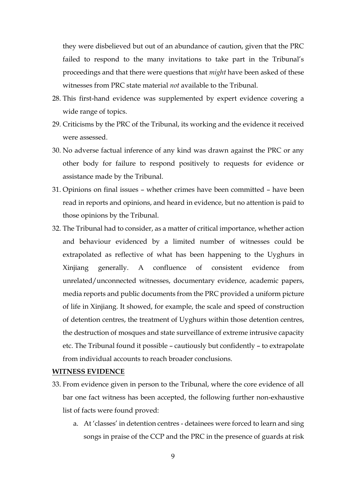they were disbelieved but out of an abundance of caution, given that the PRC failed to respond to the many invitations to take part in the Tribunal's proceedings and that there were questions that *might* have been asked of these witnesses from PRC state material *not* available to the Tribunal.

- 28. This first-hand evidence was supplemented by expert evidence covering a wide range of topics.
- 29. Criticisms by the PRC of the Tribunal, its working and the evidence it received were assessed.
- 30. No adverse factual inference of any kind was drawn against the PRC or any other body for failure to respond positively to requests for evidence or assistance made by the Tribunal.
- 31. Opinions on final issues whether crimes have been committed have been read in reports and opinions, and heard in evidence, but no attention is paid to those opinions by the Tribunal.
- 32. The Tribunal had to consider, as a matter of critical importance, whether action and behaviour evidenced by a limited number of witnesses could be extrapolated as reflective of what has been happening to the Uyghurs in Xinjiang generally. A confluence of consistent evidence from unrelated/unconnected witnesses, documentary evidence, academic papers, media reports and public documents from the PRC provided a uniform picture of life in Xinjiang. It showed, for example, the scale and speed of construction of detention centres, the treatment of Uyghurs within those detention centres, the destruction of mosques and state surveillance of extreme intrusive capacity etc. The Tribunal found it possible – cautiously but confidently – to extrapolate from individual accounts to reach broader conclusions.

#### **WITNESS EVIDENCE**

- 33. From evidence given in person to the Tribunal, where the core evidence of all bar one fact witness has been accepted, the following further non-exhaustive list of facts were found proved:
	- a. At 'classes' in detention centres detainees were forced to learn and sing songs in praise of the CCP and the PRC in the presence of guards at risk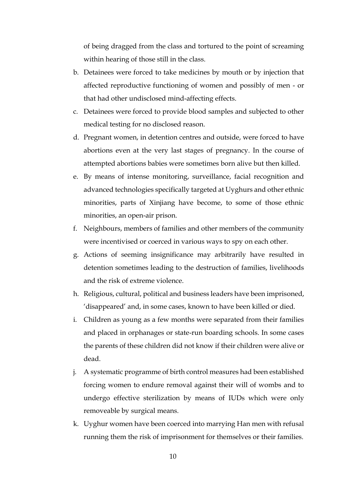of being dragged from the class and tortured to the point of screaming within hearing of those still in the class.

- b. Detainees were forced to take medicines by mouth or by injection that affected reproductive functioning of women and possibly of men - or that had other undisclosed mind-affecting effects.
- c. Detainees were forced to provide blood samples and subjected to other medical testing for no disclosed reason.
- d. Pregnant women, in detention centres and outside, were forced to have abortions even at the very last stages of pregnancy. In the course of attempted abortions babies were sometimes born alive but then killed.
- e. By means of intense monitoring, surveillance, facial recognition and advanced technologies specifically targeted at Uyghurs and other ethnic minorities, parts of Xinjiang have become, to some of those ethnic minorities, an open-air prison.
- f. Neighbours, members of families and other members of the community were incentivised or coerced in various ways to spy on each other.
- g. Actions of seeming insignificance may arbitrarily have resulted in detention sometimes leading to the destruction of families, livelihoods and the risk of extreme violence.
- h. Religious, cultural, political and business leaders have been imprisoned, 'disappeared' and, in some cases, known to have been killed or died.
- i. Children as young as a few months were separated from their families and placed in orphanages or state-run boarding schools. In some cases the parents of these children did not know if their children were alive or dead.
- j. A systematic programme of birth control measures had been established forcing women to endure removal against their will of wombs and to undergo effective sterilization by means of IUDs which were only removeable by surgical means.
- k. Uyghur women have been coerced into marrying Han men with refusal running them the risk of imprisonment for themselves or their families.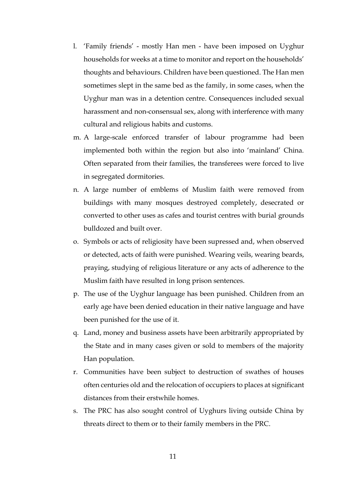- l. 'Family friends' mostly Han men have been imposed on Uyghur households for weeks at a time to monitor and report on the households' thoughts and behaviours. Children have been questioned. The Han men sometimes slept in the same bed as the family, in some cases, when the Uyghur man was in a detention centre. Consequences included sexual harassment and non-consensual sex, along with interference with many cultural and religious habits and customs.
- m. A large-scale enforced transfer of labour programme had been implemented both within the region but also into 'mainland' China. Often separated from their families, the transferees were forced to live in segregated dormitories.
- n. A large number of emblems of Muslim faith were removed from buildings with many mosques destroyed completely, desecrated or converted to other uses as cafes and tourist centres with burial grounds bulldozed and built over.
- o. Symbols or acts of religiosity have been supressed and, when observed or detected, acts of faith were punished. Wearing veils, wearing beards, praying, studying of religious literature or any acts of adherence to the Muslim faith have resulted in long prison sentences.
- p. The use of the Uyghur language has been punished. Children from an early age have been denied education in their native language and have been punished for the use of it.
- q. Land, money and business assets have been arbitrarily appropriated by the State and in many cases given or sold to members of the majority Han population.
- r. Communities have been subject to destruction of swathes of houses often centuries old and the relocation of occupiers to places at significant distances from their erstwhile homes.
- s. The PRC has also sought control of Uyghurs living outside China by threats direct to them or to their family members in the PRC.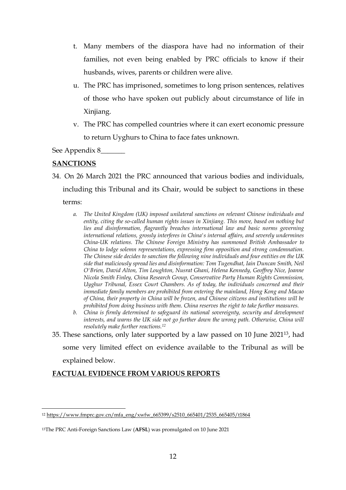- t. Many members of the diaspora have had no information of their families, not even being enabled by PRC officials to know if their husbands, wives, parents or children were alive.
- u. The PRC has imprisoned, sometimes to long prison sentences, relatives of those who have spoken out publicly about circumstance of life in Xinjiang.
- v. The PRC has compelled countries where it can exert economic pressure to return Uyghurs to China to face fates unknown.

See Appendix 8\_\_\_\_\_\_\_

# **SANCTIONS**

34. On 26 March 2021 the PRC announced that various bodies and individuals, including this Tribunal and its Chair, would be subject to sanctions in these terms:

- *a. The United Kingdom (UK) imposed unilateral sanctions on relevant Chinese individuals and entity, citing the so-called human rights issues in Xinjiang. This move, based on nothing but lies and disinformation, flagrantly breaches international law and basic norms governing international relations, grossly interferes in China's internal affairs, and severely undermines China-UK relations. The Chinese Foreign Ministry has summoned British Ambassador to China to lodge solemn representations, expressing firm opposition and strong condemnation. The Chinese side decides to sanction the following nine individuals and four entities on the UK side that maliciously spread lies and disinformation: Tom Tugendhat, Iain Duncan Smith, Neil O'Brien, David Alton, Tim Loughton, Nusrat Ghani, Helena Kennedy, Geoffrey Nice, Joanne Nicola Smith Finley, China Research Group, Conservative Party Human Rights Commission, Uyghur Tribunal, Essex Court Chambers. As of today, the individuals concerned and their immediate family members are prohibited from entering the mainland, Hong Kong and Macao of China, their property in China will be frozen, and Chinese citizens and institutions will be prohibited from doing business with them. China reserves the right to take further measures.*
- *b. China is firmly determined to safeguard its national sovereignty, security and development interests, and warns the UK side not go further down the wrong path. Otherwise, China will resolutely make further reactions.<sup>12</sup>*
- 35. These sanctions, only later supported by a law passed on 10 June 202113, had some very limited effect on evidence available to the Tribunal as will be

explained below.

1

# **FACTUAL EVIDENCE FROM VARIOUS REPORTS**

<sup>12</sup> [https://www.fmprc.gov.cn/mfa\\_eng/xwfw\\_665399/s2510\\_665401/2535\\_665405/t1864](https://www.fmprc.gov.cn/mfa_eng/xwfw_665399/s2510_665401/2535_665405/t1864)

<sup>13</sup>The PRC Anti-Foreign Sanctions Law (**AFSL**) was promulgated on 10 June 2021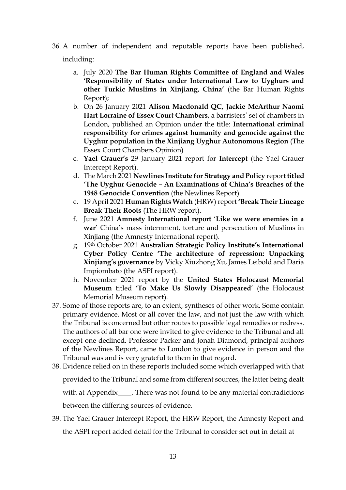36. A number of independent and reputable reports have been published,

including:

- a. July 2020 **The Bar Human Rights Committee of England and Wales 'Responsibility of States under International Law to Uyghurs and other Turkic Muslims in Xinjiang, China'** (the Bar Human Rights Report);
- b. On 26 January 2021 **Alison Macdonald QC, Jackie McArthur Naomi Hart Lorraine of Essex Court Chambers**, a barristers' set of chambers in London, published an Opinion under the title: **International criminal responsibility for crimes against humanity and genocide against the Uyghur population in the Xinjiang Uyghur Autonomous Region** (The Essex Court Chambers Opinion)
- c. **Yael Grauer's** 29 January 2021 report for **Intercept** (the Yael Grauer Intercept Report).
- d. The March 2021 **Newlines Institute for Strategy and Policy** report **titled 'The Uyghur Genocide – An Examinations of China's Breaches of the 1948 Genocide Convention** (the Newlines Report).
- e. 19 April 2021 **Human Rights Watch** (HRW) report **'Break Their Lineage Break Their Roots** (The HRW report).
- f. June 2021 **Amnesty International report** '**Like we were enemies in a war**' China's mass internment, torture and persecution of Muslims in Xinjiang (the Amnesty International report).
- g. 19th October 2021 **Australian Strategic Policy Institute's International Cyber Policy Centre 'The architecture of repression: Unpacking Xinjiang's governance** by Vicky Xiuzhong Xu, James Leibold and Daria Impiombato (the ASPI report).
- h. November 2021 report by the **United States Holocaust Memorial Museum** titled **'To Make Us Slowly Disappeared**' (the Holocaust Memorial Museum report).
- 37. Some of those reports are, to an extent, syntheses of other work. Some contain primary evidence. Most or all cover the law, and not just the law with which the Tribunal is concerned but other routes to possible legal remedies or redress. The authors of all bar one were invited to give evidence to the Tribunal and all except one declined. Professor Packer and Jonah Diamond, principal authors of the Newlines Report, came to London to give evidence in person and the Tribunal was and is very grateful to them in that regard.
- 38. Evidence relied on in these reports included some which overlapped with that provided to the Tribunal and some from different sources, the latter being dealt with at Appendix . There was not found to be any material contradictions between the differing sources of evidence.
- 39. The Yael Grauer Intercept Report, the HRW Report, the Amnesty Report and the ASPI report added detail for the Tribunal to consider set out in detail at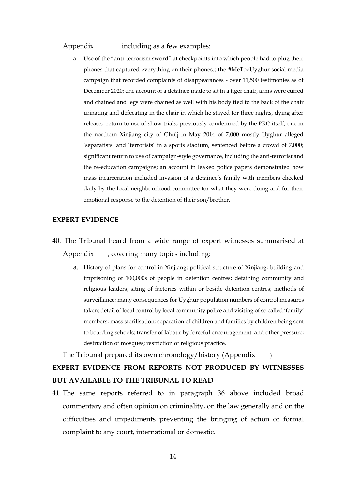#### Appendix including as a few examples:

a. Use of the "anti-terrorism sword" at checkpoints into which people had to plug their phones that captured everything on their phones.; the #MeTooUyghur social media campaign that recorded complaints of disappearances - over 11,500 testimonies as of December 2020; one account of a detainee made to sit in a tiger chair, arms were cuffed and chained and legs were chained as well with his body tied to the back of the chair urinating and defecating in the chair in which he stayed for three nights, dying after release; return to use of show trials, previously condemned by the PRC itself, one in the northern Xinjiang city of Ghulj in May 2014 of 7,000 mostly Uyghur alleged 'separatists' and 'terrorists' in a sports stadium, sentenced before a crowd of 7,000; significant return to use of campaign-style governance, including the anti-terrorist and the re-education campaigns; an account in leaked police papers demonstrated how mass incarceration included invasion of a detainee's family with members checked daily by the local neighbourhood committee for what they were doing and for their emotional response to the detention of their son/brother.

#### **EXPERT EVIDENCE**

- 40. The Tribunal heard from a wide range of expert witnesses summarised at Appendix , covering many topics including:
	- a. History of plans for control in Xinjiang; political structure of Xinjiang; building and imprisoning of 100,000s of people in detention centres; detaining community and religious leaders; siting of factories within or beside detention centres; methods of surveillance; many consequences for Uyghur population numbers of control measures taken; detail of local control by local community police and visiting of so called 'family' members; mass sterilisation; separation of children and families by children being sent to boarding schools; transfer of labour by forceful encouragement and other pressure; destruction of mosques; restriction of religious practice.

The Tribunal prepared its own chronology/history (Appendix )

# **EXPERT EVIDENCE FROM REPORTS NOT PRODUCED BY WITNESSES BUT AVAILABLE TO THE TRIBUNAL TO READ**

41. The same reports referred to in paragraph 36 above included broad commentary and often opinion on criminality, on the law generally and on the difficulties and impediments preventing the bringing of action or formal complaint to any court, international or domestic.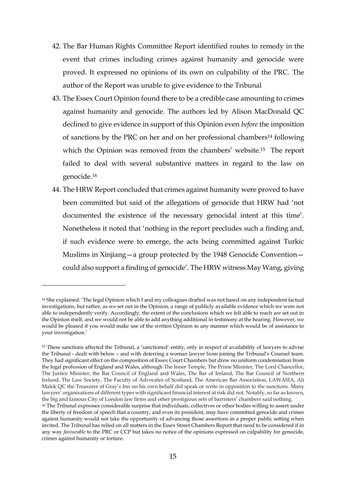- 42. The Bar Human Rights Committee Report identified routes to remedy in the event that crimes including crimes against humanity and genocide were proved. It expressed no opinions of its own on culpability of the PRC. The author of the Report was unable to give evidence to the Tribunal
- 43. The Essex Court Opinion found there to be a credible case amounting to crimes against humanity and genocide. The authors led by Alison MacDonald QC declined to give evidence in support of this Opinion even *before* the imposition of sanctions by the PRC on her and on her professional chambers<sup>14</sup> following which the Opinion was removed from the chambers' website.<sup>15</sup> The report failed to deal with several substantive matters in regard to the law on genocide.<sup>16</sup>
- 44. The HRW Report concluded that crimes against humanity were proved to have been committed but said of the allegations of genocide that HRW had 'not documented the existence of the necessary genocidal intent at this time'. Nonetheless it noted that 'nothing in the report precludes such a finding and, if such evidence were to emerge, the acts being committed against Turkic Muslims in Xinjiang—a group protected by the 1948 Genocide Convention could also support a finding of genocide'. The HRW witness May Wang, giving

<u>.</u>

<sup>14</sup> She explained: 'The legal Opinion which I and my colleagues drafted was not based on any independent factual investigations, but rather, as we set out in the Opinion, a range of publicly available evidence which we were not able to independently verify. Accordingly, the extent of the conclusions which we felt able to reach are set out in the Opinion itself, and we would not be able to add anything additional in testimony at the hearing. However, we would be pleased if you would make use of the written Opinion in any manner which would be of assistance to your investigation.'

<sup>15</sup> These sanctions affected the Tribunal, a 'sanctioned' entity, only in respect of availability of lawyers to advise the Tribunal - dealt with below – and with deterring a woman lawyer from joining the Tribunal's Counsel team. They had significant effect on the composition of Essex Court Chambers but drew no uniform condemnation from the legal profession of England and Wales, although The Inner Temple, The Prime Minister, The Lord Chancellor, The Justice Minister, the Bar Council of England and Wales, The Bar of Ireland, The Bar Council of Northern Ireland, The Law Society, The Faculty of Advocates of Scotland, The American Bar Association, LAWASIA, Ali Malek QC the Treasurer of Gray's Inn on his own behalf did speak or write in opposition to the sanctions. Many lawyers' organisations of different types with significant financial interest at risk did not. Notably, so far as known, the big and famous City of London law firms and other prestigious sets of barristers' chambers said nothing.

<sup>16</sup> The Tribunal expresses considerable surprise that individuals, collectives or other bodies willing to assert under the liberty of freedom of speech that a country, and even its president, may have committed genocide and crimes against humanity would not take the opportunity of advancing those assertions in a proper public setting when invited. The Tribunal has relied on all matters in the Essex Street Chambers Report that need to be considered if in any way *favourable* to the PRC or CCP but takes no notice of the opinions expressed on culpability for genocide, crimes against humanity or torture.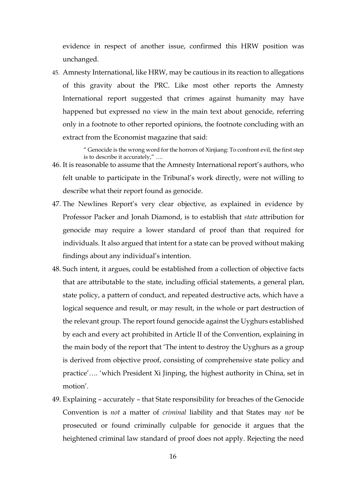evidence in respect of another issue, confirmed this HRW position was unchanged.

45. Amnesty International, like HRW, may be cautious in its reaction to allegations of this gravity about the PRC. Like most other reports the Amnesty International report suggested that crimes against humanity may have happened but expressed no view in the main text about genocide, referring only in a footnote to other reported opinions, the footnote concluding with an extract from the Economist magazine that said:

> " Genocide is the wrong word for the horrors of Xinjiang: To confront evil, the first step is to describe it accurately," ….

- 46. It is reasonable to assume that the Amnesty International report's authors, who felt unable to participate in the Tribunal's work directly, were not willing to describe what their report found as genocide.
- 47. The Newlines Report's very clear objective, as explained in evidence by Professor Packer and Jonah Diamond, is to establish that *state* attribution for genocide may require a lower standard of proof than that required for individuals. It also argued that intent for a state can be proved without making findings about any individual's intention.
- 48. Such intent, it argues, could be established from a collection of objective facts that are attributable to the state, including official statements, a general plan, state policy, a pattern of conduct, and repeated destructive acts, which have a logical sequence and result, or may result, in the whole or part destruction of the relevant group. The report found genocide against the Uyghurs established by each and every act prohibited in Article II of the Convention, explaining in the main body of the report that 'The intent to destroy the Uyghurs as a group is derived from objective proof, consisting of comprehensive state policy and practice'…. 'which President Xi Jinping, the highest authority in China, set in motion'.
- 49. Explaining accurately that State responsibility for breaches of the Genocide Convention is *not* a matter of *criminal* liability and that States may *not* be prosecuted or found criminally culpable for genocide it argues that the heightened criminal law standard of proof does not apply. Rejecting the need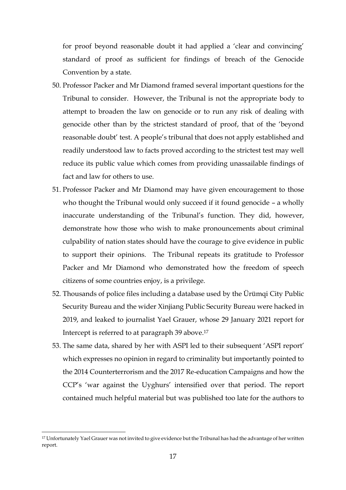for proof beyond reasonable doubt it had applied a 'clear and convincing' standard of proof as sufficient for findings of breach of the Genocide Convention by a state.

- 50. Professor Packer and Mr Diamond framed several important questions for the Tribunal to consider. However, the Tribunal is not the appropriate body to attempt to broaden the law on genocide or to run any risk of dealing with genocide other than by the strictest standard of proof, that of the 'beyond reasonable doubt' test. A people's tribunal that does not apply established and readily understood law to facts proved according to the strictest test may well reduce its public value which comes from providing unassailable findings of fact and law for others to use.
- 51. Professor Packer and Mr Diamond may have given encouragement to those who thought the Tribunal would only succeed if it found genocide – a wholly inaccurate understanding of the Tribunal's function. They did, however, demonstrate how those who wish to make pronouncements about criminal culpability of nation states should have the courage to give evidence in public to support their opinions. The Tribunal repeats its gratitude to Professor Packer and Mr Diamond who demonstrated how the freedom of speech citizens of some countries enjoy, is a privilege.
- 52. Thousands of police files including a database used by the Ürümqi City Public Security Bureau and the wider Xinjiang Public Security Bureau were hacked in 2019, and leaked to journalist Yael Grauer, whose 29 January 2021 report for Intercept is referred to at paragraph 39 above. 17
- 53. The same data, shared by her with ASPI led to their subsequent 'ASPI report' which expresses no opinion in regard to criminality but importantly pointed to the 2014 Counterterrorism and the 2017 Re-education Campaigns and how the CCP's 'war against the Uyghurs' intensified over that period. The report contained much helpful material but was published too late for the authors to

<sup>17</sup> Unfortunately Yael Grauer was not invited to give evidence but the Tribunal has had the advantage of her written report.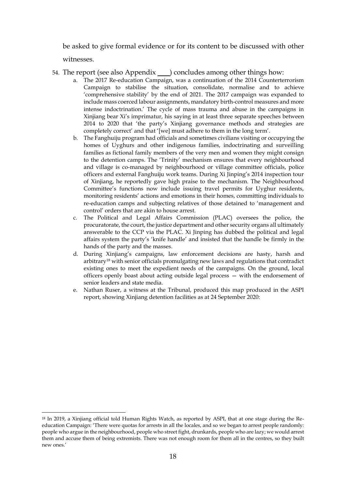be asked to give formal evidence or for its content to be discussed with other

witnesses.

<u>.</u>

- 54. The report (see also Appendix \_\_\_\_) concludes among other things how:
	- a. The 2017 Re-education Campaign, was a continuation of the 2014 Counterterrorism Campaign to stabilise the situation, consolidate, normalise and to achieve 'comprehensive stability' by the end of 2021. The 2017 campaign was expanded to include mass coerced labour assignments, mandatory birth-control measures and more intense indoctrination.' The cycle of mass trauma and abuse in the campaigns in Xinjiang bear Xi's imprimatur, his saying in at least three separate speeches between 2014 to 2020 that 'the party's Xinjiang governance methods and strategies are completely correct' and that '[we] must adhere to them in the long term'.
	- b. The Fanghuiju program had officials and sometimes civilians visiting or occupying the homes of Uyghurs and other indigenous families, indoctrinating and surveilling families as fictional family members of the very men and women they might consign to the detention camps. The 'Trinity' mechanism ensures that every neighbourhood and village is co-managed by neighbourhood or village committee officials, police officers and external Fanghuiju work teams. During Xi Jinping's 2014 inspection tour of Xinjiang, he reportedly gave high praise to the mechanism. The Neighbourhood Committee's functions now include issuing travel permits for Uyghur residents, monitoring residents' actions and emotions in their homes, committing individuals to re-education camps and subjecting relatives of those detained to 'management and control' orders that are akin to house arrest.
	- c. The Political and Legal Affairs Commission (PLAC) oversees the police, the procuratorate, the court, the justice department and other security organs all ultimately answerable to the CCP via the PLAC. Xi Jinping has dubbed the political and legal affairs system the party's 'knife handle' and insisted that the handle be firmly in the hands of the party and the masses.
	- d. During Xinjiang's campaigns, law enforcement decisions are hasty, harsh and arbitrary<sup>18</sup> with senior officials promulgating new laws and regulations that contradict existing ones to meet the expedient needs of the campaigns. On the ground, local officers openly boast about acting outside legal process — with the endorsement of senior leaders and state media.
	- e. Nathan Ruser, a witness at the Tribunal, produced this map produced in the ASPI report, showing Xinjiang detention facilities as at 24 September 2020:

<sup>18</sup> In 2019, a Xinjiang official told Human Rights Watch, as reported by ASPI, that at one stage during the Reeducation Campaign: 'There were quotas for arrests in all the locales, and so we began to arrest people randomly: people who argue in the neighbourhood, people who street fight, drunkards, people who are lazy; we would arrest them and accuse them of being extremists. There was not enough room for them all in the centres, so they built new ones.'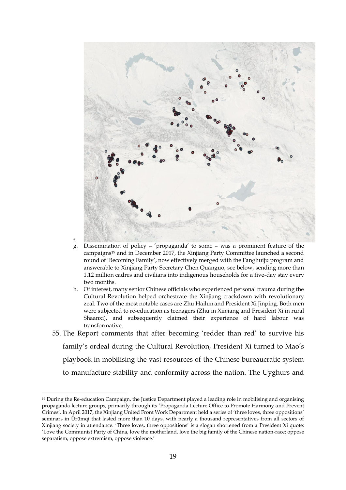

f.

- g. Dissemination of policy 'propaganda' to some was a prominent feature of the campaigns<sup>19</sup> and in December 2017, the Xinjiang Party Committee launched a second round of 'Becoming Family', now effectively merged with the Fanghuiju program and answerable to Xinjiang Party Secretary Chen Quanguo, see below, sending more than 1.12 million cadres and civilians into indigenous households for a five-day stay every two months.
- h. Of interest, many senior Chinese officials who experienced personal trauma during the Cultural Revolution helped orchestrate the Xinjiang crackdown with revolutionary zeal. Two of the most notable cases are Zhu Hailun and President Xi Jinping. Both men were subjected to re-education as teenagers (Zhu in Xinjiang and President Xi in rural Shaanxi), and subsequently claimed their experience of hard labour was transformative.
- 55. The Report comments that after becoming 'redder than red' to survive his family's ordeal during the Cultural Revolution, President Xi turned to Mao's playbook in mobilising the vast resources of the Chinese bureaucratic system to manufacture stability and conformity across the nation. The Uyghurs and

<sup>19</sup> During the Re-education Campaign, the Justice Department played a leading role in mobilising and organising propaganda lecture groups, primarily through its 'Propaganda Lecture Office to Promote Harmony and Prevent Crimes'. In April 2017, the Xinjiang United Front Work Department held a series of 'three loves, three oppositions' seminars in Ürümqi that lasted more than 10 days, with nearly a thousand representatives from all sectors of Xinjiang society in attendance. 'Three loves, three oppositions' is a slogan shortened from a President Xi quote: 'Love the Communist Party of China, love the motherland, love the big family of the Chinese nation-race; oppose separatism, oppose extremism, oppose violence.'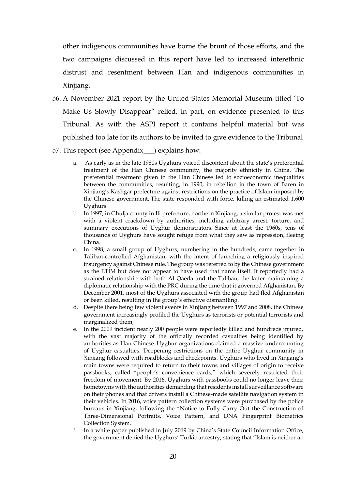other indigenous communities have borne the brunt of those efforts, and the two campaigns discussed in this report have led to increased interethnic distrust and resentment between Han and indigenous communities in Xinjiang.

- 56. A November 2021 report by the United States Memorial Museum titled 'To Make Us Slowly Disappear" relied, in part, on evidence presented to this Tribunal. As with the ASPI report it contains helpful material but was published too late for its authors to be invited to give evidence to the Tribunal
- 57. This report (see Appendix ) explains how:
	- a. As early as in the late 1980s Uyghurs voiced discontent about the state's preferential treatment of the Han Chinese community, the majority ethnicity in China. The preferential treatment given to the Han Chinese led to socioeconomic inequalities between the communities, resulting, in 1990, in rebellion in the town of Baren in Xinjiang's Kashgar prefecture against restrictions on the practice of Islam imposed by the Chinese government. The state responded with force, killing an estimated 1,600 Uyghurs.
	- b. In 1997, in Ghulja county in Ili prefecture, northern Xinjiang, a similar protest was met with a violent crackdown by authorities, including arbitrary arrest, torture, and summary executions of Uyghur demonstrators. Since at least the 1960s, tens of thousands of Uyghurs have sought refuge from what they saw as repression, fleeing China.
	- c. In 1998, a small group of Uyghurs, numbering in the hundreds, came together in Taliban-controlled Afghanistan, with the intent of launching a religiously inspired insurgency against Chinese rule.The group was referred to by the Chinese government as the ETIM but does not appear to have used that name itself. It reportedly had a strained relationship with both Al Qaeda and the Taliban, the latter maintaining a diplomatic relationship with the PRC during the time that it governed Afghanistan. By December 2001, most of the Uyghurs associated with the group had fled Afghanistan or been killed, resulting in the group's effective dismantling.
	- d. Despite there being few violent events in Xinjiang between 1997 and 2008, the Chinese government increasingly profiled the Uyghurs as terrorists or potential terrorists and marginalized them,
	- e. In the 2009 incident nearly 200 people were reportedly killed and hundreds injured, with the vast majority of the officially recorded casualties being identified by authorities as Han Chinese. Uyghur organizations claimed a massive undercounting of Uyghur casualties. Deepening restrictions on the entire Uyghur community in Xinjiang followed with roadblocks and checkpoints. Uyghurs who lived in Xinjiang's main towns were required to return to their towns and villages of origin to receive passbooks, called "people's convenience cards," which severely restricted their freedom of movement. By 2016, Uyghurs with passbooks could no longer leave their hometowns with the authorities demanding that residents install surveillance software on their phones and that drivers install a Chinese-made satellite navigation system in their vehicles. In 2016, voice pattern collection systems were purchased by the police bureaus in Xinjiang, following the "Notice to Fully Carry Out the Construction of Three-Dimensional Portraits, Voice Pattern, and DNA Fingerprint Biometrics Collection System."
	- f. In a white paper published in July 2019 by China's State Council Information Office, the government denied the Uyghurs' Turkic ancestry, stating that "Islam is neither an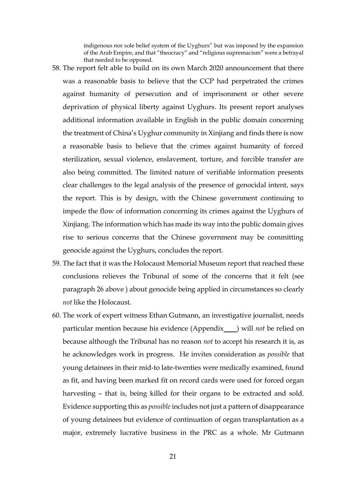indigenous nor sole belief system of the Uyghurs" but was imposed by the expansion of the Arab Empire, and that "theocracy" and "religious supremacism" were a betrayal that needed to be opposed.

- 58. The report felt able to build on its own March 2020 announcement that there was a reasonable basis to believe that the CCP had perpetrated the crimes against humanity of persecution and of imprisonment or other severe deprivation of physical liberty against Uyghurs. Its present report analyses additional information available in English in the public domain concerning the treatment of China's Uyghur community in Xinjiang and finds there is now a reasonable basis to believe that the crimes against humanity of forced sterilization, sexual violence, enslavement, torture, and forcible transfer are also being committed. The limited nature of verifiable information presents clear challenges to the legal analysis of the presence of genocidal intent, says the report. This is by design, with the Chinese government continuing to impede the flow of information concerning its crimes against the Uyghurs of Xinjiang. The information which has made its way into the public domain gives rise to serious concerns that the Chinese government may be committing genocide against the Uyghurs, concludes the report.
- 59. The fact that it was the Holocaust Memorial Museum report that reached these conclusions relieves the Tribunal of some of the concerns that it felt (see paragraph 26 above ) about genocide being applied in circumstances so clearly *not* like the Holocaust.
- 60. The work of expert witness Ethan Gutmann, an investigative journalist, needs particular mention because his evidence (Appendix ) will *not* be relied on because although the Tribunal has no reason *not* to accept his research it is, as he acknowledges work in progress. He invites consideration as *possible* that young detainees in their mid-to late-twenties were medically examined, found as fit, and having been marked fit on record cards were used for forced organ harvesting – that is, being killed for their organs to be extracted and sold. Evidence supporting this as *possible* includes not just a pattern of disappearance of young detainees but evidence of continuation of organ transplantation as a major, extremely lucrative business in the PRC as a whole. Mr Gutmann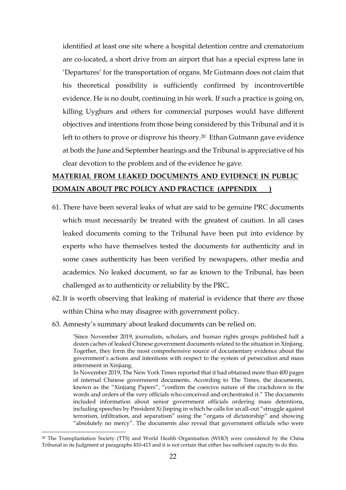identified at least one site where a hospital detention centre and crematorium are co-located, a short drive from an airport that has a special express lane in 'Departures' for the transportation of organs. Mr Gutmann does not claim that his theoretical possibility is sufficiently confirmed by incontrovertible evidence. He is no doubt, continuing in his work. If such a practice is going on, killing Uyghurs and others for commercial purposes would have different objectives and intentions from those being considered by this Tribunal and it is left to others to prove or disprove his theory. <sup>20</sup> Ethan Gutmann gave evidence at both the June and September hearings and the Tribunal is appreciative of his clear devotion to the problem and of the evidence he gave.

# **MATERIAL FROM LEAKED DOCUMENTS AND EVIDENCE IN PUBLIC DOMAIN ABOUT PRC POLICY AND PRACTICE (APPENDIX )**

- 61. There have been several leaks of what are said to be genuine PRC documents which must necessarily be treated with the greatest of caution. In all cases leaked documents coming to the Tribunal have been put into evidence by experts who have themselves tested the documents for authenticity and in some cases authenticity has been verified by newspapers, other media and academics. No leaked document, so far as known to the Tribunal, has been challenged as to authenticity or reliability by the PRC**.**
- 62. It is worth observing that leaking of material is evidence that there *are* those within China who may disagree with government policy.
- 63. Amnesty's summary about leaked documents can be relied on.

'Since November 2019, journalists, scholars, and human rights groups published half a dozen caches of leaked Chinese government documents related to the situation in Xinjiang. Together, they form the most comprehensive source of documentary evidence about the government's actions and intentions with respect to the system of persecution and mass internment in Xinjiang.

In November 2019, The New York Times reported that it had obtained more than 400 pages of internal Chinese government documents. According to The Times, the documents, known as the "Xinjiang Papers", "confirm the coercive nature of the crackdown in the words and orders of the very officials who conceived and orchestrated it." The documents included information about senior government officials ordering mass detentions, including speeches by President Xi Jinping in which he calls for an all-out "struggle against terrorism, infiltration, and separatism" using the "organs of dictatorship" and showing "absolutely no mercy". The documents also reveal that government officials who were

<sup>20</sup> The Transplantation Society (TTS) and World Health Organisation (WHO) were considered by the China Tribunal in its Judgment at paragraphs 410-413 and it is not certain that either has sufficient capacity to do this.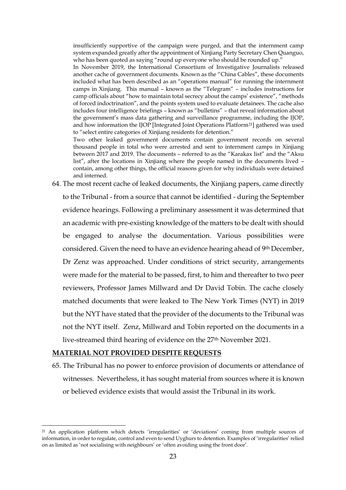insufficiently supportive of the campaign were purged, and that the internment camp system expanded greatly after the appointment of Xinjiang Party Secretary Chen Quanguo, who has been quoted as saying "round up everyone who should be rounded up."

In November 2019, the International Consortium of Investigative Journalists released another cache of government documents. Known as the "China Cables", these documents included what has been described as an "operations manual" for running the internment camps in Xinjiang. This manual – known as the "Telegram" – includes instructions for camp officials about "how to maintain total secrecy about the camps' existence", "methods of forced indoctrination", and the points system used to evaluate detainees. The cache also includes four intelligence briefings – known as "bulletins" – that reveal information about the government's mass data gathering and surveillance programme, including the IJOP, and how information the IJOP [Integrated Joint Operations Platform21] gathered was used to "select entire categories of Xinjiang residents for detention."

Two other leaked government documents contain government records on several thousand people in total who were arrested and sent to internment camps in Xinjiang between 2017 and 2019. The documents – referred to as the "Karakax list" and the "Aksu list", after the locations in Xinjiang where the people named in the documents lived – contain, among other things, the official reasons given for why individuals were detained and interned.

64. The most recent cache of leaked documents, the Xinjiang papers, came directly to the Tribunal - from a source that cannot be identified - during the September evidence hearings. Following a preliminary assessment it was determined that an academic with pre-existing knowledge of the matters to be dealt with should be engaged to analyse the documentation. Various possibilities were considered. Given the need to have an evidence hearing ahead of 9th December, Dr Zenz was approached. Under conditions of strict security, arrangements were made for the material to be passed, first, to him and thereafter to two peer reviewers, Professor James Millward and Dr David Tobin. The cache closely matched documents that were leaked to The New York Times (NYT) in 2019 but the NYT have stated that the provider of the documents to the Tribunal was not the NYT itself. Zenz, Millward and Tobin reported on the documents in a live-streamed third hearing of evidence on the 27<sup>th</sup> November 2021.

#### **MATERIAL NOT PROVIDED DESPITE REQUESTS**

1

65. The Tribunal has no power to enforce provision of documents or attendance of witnesses. Nevertheless, it has sought material from sources where it is known or believed evidence exists that would assist the Tribunal in its work.

<sup>21</sup> An application platform which detects 'irregularities' or 'deviations' coming from multiple sources of information, in order to regulate, control and even to send Uyghurs to detention. Examples of 'irregularities' relied on as limited as 'not socialising with neighbours' or 'often avoiding using the front door'.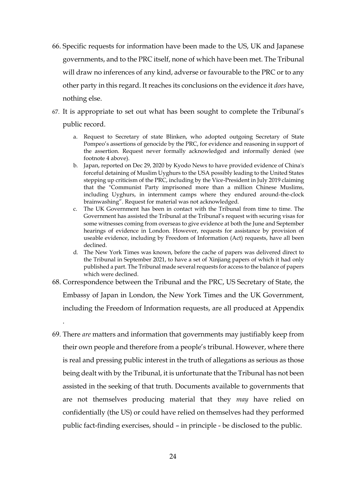- 66. Specific requests for information have been made to the US, UK and Japanese governments, and to the PRC itself, none of which have been met. The Tribunal will draw no inferences of any kind, adverse or favourable to the PRC or to any other party in this regard. It reaches its conclusions on the evidence it *does* have, nothing else.
- 67. It is appropriate to set out what has been sought to complete the Tribunal's public record.
	- a. Request to Secretary of state Blinken, who adopted outgoing Secretary of State Pompeo's assertions of genocide by the PRC, for evidence and reasoning in support of the assertion. Request never formally acknowledged and informally denied (see footnote 4 above).
	- b. Japan, reported on Dec 29, 2020 by Kyodo News to have provided evidence of China's forceful detaining of Muslim Uyghurs to the USA possibly leading to the United States stepping up criticism of the PRC, including by the Vice-President in July 2019 claiming that the "Communist Party imprisoned more than a million Chinese Muslims, including Uyghurs, in internment camps where they endured around-the-clock brainwashing". Request for material was not acknowledged.
	- c. The UK Government has been in contact with the Tribunal from time to time. The Government has assisted the Tribunal at the Tribunal's request with securing visas for some witnesses coming from overseas to give evidence at both the June and September hearings of evidence in London. However, requests for assistance by provision of useable evidence, including by Freedom of Information (Act) requests, have all been declined.
	- d. The New York Times was known, before the cache of papers was delivered direct to the Tribunal in September 2021, to have a set of Xinjiang papers of which it had only published a part. The Tribunal made several requests for access to the balance of papers which were declined.
- 68. Correspondence between the Tribunal and the PRC, US Secretary of State, the Embassy of Japan in London, the New York Times and the UK Government, including the Freedom of Information requests, are all produced at Appendix

.

69. There *are* matters and information that governments may justifiably keep from their own people and therefore from a people's tribunal. However, where there is real and pressing public interest in the truth of allegations as serious as those being dealt with by the Tribunal, it is unfortunate that the Tribunal has not been assisted in the seeking of that truth. Documents available to governments that are not themselves producing material that they *may* have relied on confidentially (the US) or could have relied on themselves had they performed public fact-finding exercises, should – in principle - be disclosed to the public.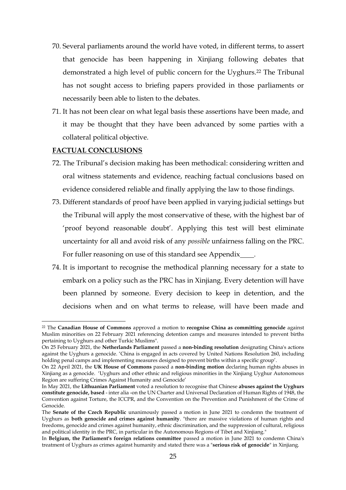- 70. Several parliaments around the world have voted, in different terms, to assert that genocide has been happening in Xinjiang following debates that demonstrated a high level of public concern for the Uyghurs.<sup>22</sup> The Tribunal has not sought access to briefing papers provided in those parliaments or necessarily been able to listen to the debates.
- 71. It has not been clear on what legal basis these assertions have been made, and it may be thought that they have been advanced by some parties with a collateral political objective.

# **FACTUAL CONCLUSIONS**

- 72. The Tribunal's decision making has been methodical: considering written and oral witness statements and evidence, reaching factual conclusions based on evidence considered reliable and finally applying the law to those findings.
- 73. Different standards of proof have been applied in varying judicial settings but the Tribunal will apply the most conservative of these, with the highest bar of 'proof beyond reasonable doubt'. Applying this test will best eliminate uncertainty for all and avoid risk of any *possible* unfairness falling on the PRC. For fuller reasoning on use of this standard see Appendix .
- 74. It is important to recognise the methodical planning necessary for a state to embark on a policy such as the PRC has in Xinjiang. Every detention will have been planned by someone. Every decision to keep in detention, and the decisions when and on what terms to release, will have been made and

<sup>22</sup> The **Canadian House of Commons** approved a motion to **recognise China as committing genocide** against Muslim minorities on 22 February 2021 referencing detention camps and measures intended to prevent births pertaining to Uyghurs and other Turkic Muslims".

On 25 February 2021, the **Netherlands Parliament** passed a **non-binding resolution** designating China's actions against the Uyghurs a genocide. 'China is engaged in acts covered by United Nations Resolution 260, including holding penal camps and implementing measures designed to prevent births within a specific group'.

On 22 April 2021, the **UK House of Commons** passed a **non-binding motion** declaring human rights abuses in Xinjiang as a genocide. 'Uyghurs and other ethnic and religious minorities in the Xinjiang Uyghur Autonomous Region are suffering Crimes Against Humanity and Genocide'

In May 2021, the **Lithuanian Parliament** voted a resolution to recognise that Chinese **abuses against the Uyghurs constitute genocide, based** - inter alia -on the UN Charter and Universal Declaration of Human Rights of 1948, the Convention against Torture, the ICCPR, and the Convention on the Prevention and Punishment of the Crime of Genocide.

The **Senate of the Czech Republic** unanimously passed a motion in June 2021 to condemn the treatment of Uyghurs as **both genocide and crimes against humanity**. "there are massive violations of human rights and freedoms, genocide and crimes against humanity, ethnic discrimination, and the suppression of cultural, religious and political identity in the PRC, in particular in the Autonomous Regions of Tibet and Xinjiang."

In **Belgium, the Parliament's foreign relations committee** passed a motion in June 2021 to condemn China's treatment of Uyghurs as crimes against humanity and stated there was a "**serious risk of genocide**" in Xinjiang.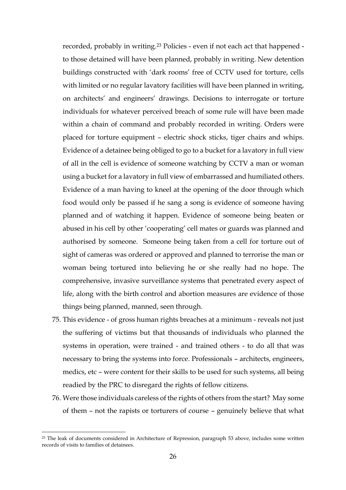recorded, probably in writing.<sup>23</sup> Policies - even if not each act that happened to those detained will have been planned, probably in writing. New detention buildings constructed with 'dark rooms' free of CCTV used for torture, cells with limited or no regular lavatory facilities will have been planned in writing, on architects' and engineers' drawings. Decisions to interrogate or torture individuals for whatever perceived breach of some rule will have been made within a chain of command and probably recorded in writing. Orders were placed for torture equipment – electric shock sticks, tiger chairs and whips. Evidence of a detainee being obliged to go to a bucket for a lavatory in full view of all in the cell is evidence of someone watching by CCTV a man or woman using a bucket for a lavatory in full view of embarrassed and humiliated others. Evidence of a man having to kneel at the opening of the door through which food would only be passed if he sang a song is evidence of someone having planned and of watching it happen. Evidence of someone being beaten or abused in his cell by other 'cooperating' cell mates or guards was planned and authorised by someone. Someone being taken from a cell for torture out of sight of cameras was ordered or approved and planned to terrorise the man or woman being tortured into believing he or she really had no hope. The comprehensive, invasive surveillance systems that penetrated every aspect of life, along with the birth control and abortion measures are evidence of those things being planned, manned, seen through.

- 75. This evidence of gross human rights breaches at a minimum reveals not just the suffering of victims but that thousands of individuals who planned the systems in operation, were trained - and trained others - to do all that was necessary to bring the systems into force. Professionals – architects, engineers, medics, etc – were content for their skills to be used for such systems, all being readied by the PRC to disregard the rights of fellow citizens.
- 76. Were those individuals careless of the rights of others from the start? May some of them – not the rapists or torturers of course – genuinely believe that what

<sup>23</sup> The leak of documents considered in Architecture of Repression, paragraph 53 above, includes some written records of visits to families of detainees.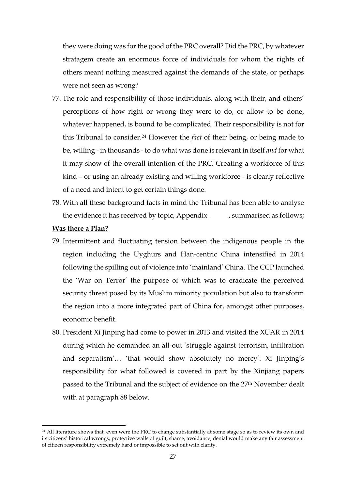they were doing was for the good of the PRC overall? Did the PRC, by whatever stratagem create an enormous force of individuals for whom the rights of others meant nothing measured against the demands of the state, or perhaps were not seen as wrong?

- 77. The role and responsibility of those individuals, along with their, and others' perceptions of how right or wrong they were to do, or allow to be done, whatever happened, is bound to be complicated. Their responsibility is not for this Tribunal to consider.<sup>24</sup> However the *fact* of their being, or being made to be, willing - in thousands - to do what was done is relevant in itself *and* for what it may show of the overall intention of the PRC. Creating a workforce of this kind – or using an already existing and willing workforce - is clearly reflective of a need and intent to get certain things done.
- 78. With all these background facts in mind the Tribunal has been able to analyse the evidence it has received by topic, Appendix \_\_\_\_\_\_, summarised as follows;

#### **Was there a Plan?**

- 79. Intermittent and fluctuating tension between the indigenous people in the region including the Uyghurs and Han-centric China intensified in 2014 following the spilling out of violence into 'mainland' China. The CCP launched the 'War on Terror' the purpose of which was to eradicate the perceived security threat posed by its Muslim minority population but also to transform the region into a more integrated part of China for, amongst other purposes, economic benefit.
- 80. President Xi Jinping had come to power in 2013 and visited the XUAR in 2014 during which he demanded an all-out 'struggle against terrorism, infiltration and separatism'… 'that would show absolutely no mercy'. Xi Jinping's responsibility for what followed is covered in part by the Xinjiang papers passed to the Tribunal and the subject of evidence on the 27th November dealt with at paragraph 88 below.

<sup>&</sup>lt;sup>24</sup> All literature shows that, even were the PRC to change substantially at some stage so as to review its own and its citizens' historical wrongs, protective walls of guilt, shame, avoidance, denial would make any fair assessment of citizen responsibility extremely hard or impossible to set out with clarity.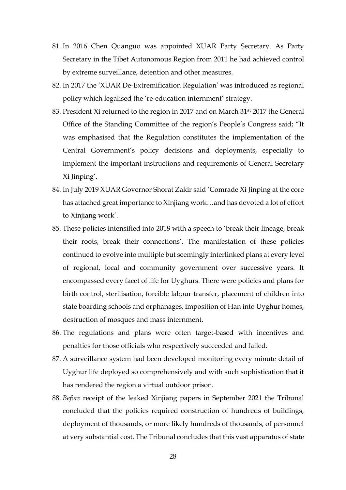- 81. In 2016 Chen Quanguo was appointed XUAR Party Secretary. As Party Secretary in the Tibet Autonomous Region from 2011 he had achieved control by extreme surveillance, detention and other measures.
- 82. In 2017 the 'XUAR De-Extremification Regulation' was introduced as regional policy which legalised the 're-education internment' strategy.
- 83. President Xi returned to the region in 2017 and on March 31<sup>st</sup> 2017 the General Office of the Standing Committee of the region's People's Congress said; "It was emphasised that the Regulation constitutes the implementation of the Central Government's policy decisions and deployments, especially to implement the important instructions and requirements of General Secretary Xi Jinping'.
- 84. In July 2019 XUAR Governor Shorat Zakir said 'Comrade Xi Jinping at the core has attached great importance to Xinjiang work…and has devoted a lot of effort to Xinjiang work'.
- 85. These policies intensified into 2018 with a speech to 'break their lineage, break their roots, break their connections'. The manifestation of these policies continued to evolve into multiple but seemingly interlinked plans at every level of regional, local and community government over successive years. It encompassed every facet of life for Uyghurs. There were policies and plans for birth control, sterilisation, forcible labour transfer, placement of children into state boarding schools and orphanages, imposition of Han into Uyghur homes, destruction of mosques and mass internment.
- 86. The regulations and plans were often target-based with incentives and penalties for those officials who respectively succeeded and failed.
- 87. A surveillance system had been developed monitoring every minute detail of Uyghur life deployed so comprehensively and with such sophistication that it has rendered the region a virtual outdoor prison.
- 88. *Before* receipt of the leaked Xinjiang papers in September 2021 the Tribunal concluded that the policies required construction of hundreds of buildings, deployment of thousands, or more likely hundreds of thousands, of personnel at very substantial cost. The Tribunal concludes that this vast apparatus of state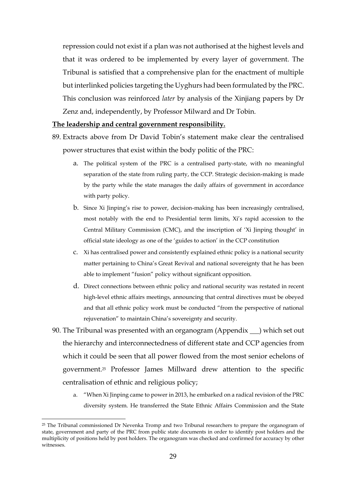repression could not exist if a plan was not authorised at the highest levels and that it was ordered to be implemented by every layer of government. The Tribunal is satisfied that a comprehensive plan for the enactment of multiple but interlinked policies targeting the Uyghurs had been formulated by the PRC. This conclusion was reinforced *later* by analysis of the Xinjiang papers by Dr Zenz and, independently, by Professor Milward and Dr Tobin.

## **The leadership and central government responsibility.**

- 89. Extracts above from Dr David Tobin's statement make clear the centralised power structures that exist within the body politic of the PRC:
	- a. The political system of the PRC is a centralised party-state, with no meaningful separation of the state from ruling party, the CCP. Strategic decision-making is made by the party while the state manages the daily affairs of government in accordance with party policy.
	- b. Since Xi Jinping's rise to power, decision-making has been increasingly centralised, most notably with the end to Presidential term limits, Xi's rapid accession to the Central Military Commission (CMC), and the inscription of 'Xi Jinping thought' in official state ideology as one of the 'guides to action' in the CCP constitution
	- c. Xi has centralised power and consistently explained ethnic policy is a national security matter pertaining to China's Great Revival and national sovereignty that he has been able to implement "fusion" policy without significant opposition.
	- d. Direct connections between ethnic policy and national security was restated in recent high-level ethnic affairs meetings, announcing that central directives must be obeyed and that all ethnic policy work must be conducted "from the perspective of national rejuvenation" to maintain China's sovereignty and security.
- 90. The Tribunal was presented with an organogram (Appendix ) which set out the hierarchy and interconnectedness of different state and CCP agencies from which it could be seen that all power flowed from the most senior echelons of government.<sup>25</sup> Professor James Millward drew attention to the specific centralisation of ethnic and religious policy;
	- a. "When Xi Jinping came to power in 2013, he embarked on a radical revision of the PRC diversity system. He transferred the State Ethnic Affairs Commission and the State

<u>.</u>

<sup>&</sup>lt;sup>25</sup> The Tribunal commissioned Dr Nevenka Tromp and two Tribunal researchers to prepare the organogram of state, government and party of the PRC from public state documents in order to identify post holders and the multiplicity of positions held by post holders. The organogram was checked and confirmed for accuracy by other witnesses.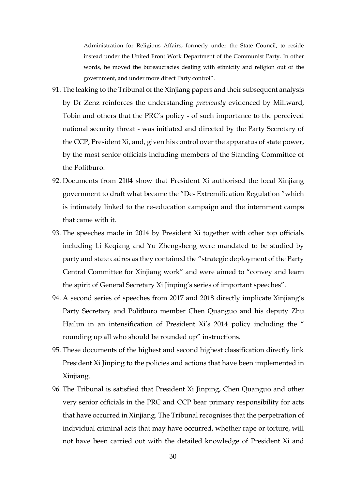Administration for Religious Affairs, formerly under the State Council, to reside instead under the United Front Work Department of the Communist Party. In other words, he moved the bureaucracies dealing with ethnicity and religion out of the government, and under more direct Party control".

- 91. The leaking to the Tribunal of the Xinjiang papers and their subsequent analysis by Dr Zenz reinforces the understanding *previously* evidenced by Millward, Tobin and others that the PRC's policy - of such importance to the perceived national security threat - was initiated and directed by the Party Secretary of the CCP, President Xi, and, given his control over the apparatus of state power, by the most senior officials including members of the Standing Committee of the Politburo.
- 92. Documents from 2104 show that President Xi authorised the local Xinjiang government to draft what became the "De- Extremification Regulation "which is intimately linked to the re-education campaign and the internment camps that came with it.
- 93. The speeches made in 2014 by President Xi together with other top officials including Li Keqiang and Yu Zhengsheng were mandated to be studied by party and state cadres as they contained the "strategic deployment of the Party Central Committee for Xinjiang work" and were aimed to "convey and learn the spirit of General Secretary Xi Jinping's series of important speeches".
- 94. A second series of speeches from 2017 and 2018 directly implicate Xinjiang's Party Secretary and Politburo member Chen Quanguo and his deputy Zhu Hailun in an intensification of President Xi's 2014 policy including the " rounding up all who should be rounded up" instructions.
- 95. These documents of the highest and second highest classification directly link President Xi Jinping to the policies and actions that have been implemented in Xinjiang.
- 96. The Tribunal is satisfied that President Xi Jinping, Chen Quanguo and other very senior officials in the PRC and CCP bear primary responsibility for acts that have occurred in Xinjiang. The Tribunal recognises that the perpetration of individual criminal acts that may have occurred, whether rape or torture, will not have been carried out with the detailed knowledge of President Xi and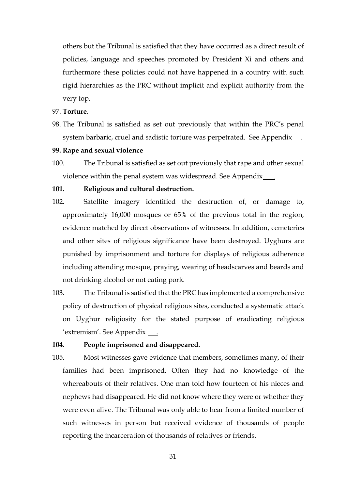others but the Tribunal is satisfied that they have occurred as a direct result of policies, language and speeches promoted by President Xi and others and furthermore these policies could not have happened in a country with such rigid hierarchies as the PRC without implicit and explicit authority from the very top.

## 97. **Torture**.

98. The Tribunal is satisfied as set out previously that within the PRC's penal system barbaric, cruel and sadistic torture was perpetrated. See Appendix .

## **99. Rape and sexual violence**

100. The Tribunal is satisfied as set out previously that rape and other sexual violence within the penal system was widespread. See Appendix .

## **101. Religious and cultural destruction.**

- 102. Satellite imagery identified the destruction of, or damage to, approximately 16,000 mosques or 65% of the previous total in the region, evidence matched by direct observations of witnesses. In addition, cemeteries and other sites of religious significance have been destroyed. Uyghurs are punished by imprisonment and torture for displays of religious adherence including attending mosque, praying, wearing of headscarves and beards and not drinking alcohol or not eating pork.
- 103. The Tribunal is satisfied that the PRC has implemented a comprehensive policy of destruction of physical religious sites, conducted a systematic attack on Uyghur religiosity for the stated purpose of eradicating religious 'extremism'. See Appendix <u>.</u>.

#### **104. People imprisoned and disappeared.**

105. Most witnesses gave evidence that members, sometimes many, of their families had been imprisoned. Often they had no knowledge of the whereabouts of their relatives. One man told how fourteen of his nieces and nephews had disappeared. He did not know where they were or whether they were even alive. The Tribunal was only able to hear from a limited number of such witnesses in person but received evidence of thousands of people reporting the incarceration of thousands of relatives or friends.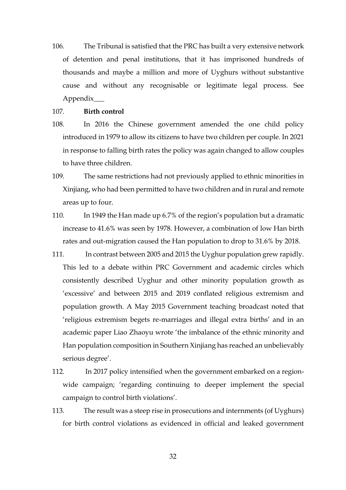106. The Tribunal is satisfied that the PRC has built a very extensive network of detention and penal institutions, that it has imprisoned hundreds of thousands and maybe a million and more of Uyghurs without substantive cause and without any recognisable or legitimate legal process. See Appendix\_\_\_

## 107. **Birth control**

- 108. In 2016 the Chinese government amended the one child policy introduced in 1979 to allow its citizens to have two children per couple. In 2021 in response to falling birth rates the policy was again changed to allow couples to have three children.
- 109. The same restrictions had not previously applied to ethnic minorities in Xinjiang, who had been permitted to have two children and in rural and remote areas up to four.
- 110. In 1949 the Han made up 6.7% of the region's population but a dramatic increase to 41.6% was seen by 1978. However, a combination of low Han birth rates and out-migration caused the Han population to drop to 31.6% by 2018.
- 111. In contrast between 2005 and 2015 the Uyghur population grew rapidly. This led to a debate within PRC Government and academic circles which consistently described Uyghur and other minority population growth as 'excessive' and between 2015 and 2019 conflated religious extremism and population growth. A May 2015 Government teaching broadcast noted that 'religious extremism begets re-marriages and illegal extra births' and in an academic paper Liao Zhaoyu wrote 'the imbalance of the ethnic minority and Han population composition in Southern Xinjiang has reached an unbelievably serious degree'.
- 112. In 2017 policy intensified when the government embarked on a regionwide campaign; 'regarding continuing to deeper implement the special campaign to control birth violations'.
- 113. The result was a steep rise in prosecutions and internments (of Uyghurs) for birth control violations as evidenced in official and leaked government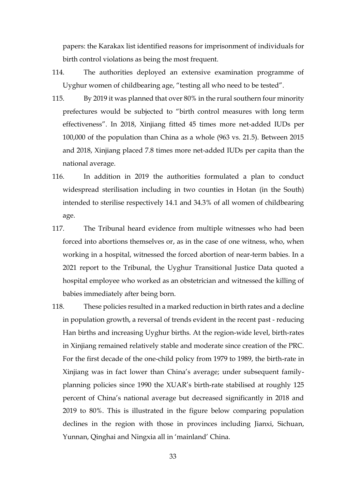papers: the Karakax list identified reasons for imprisonment of individuals for birth control violations as being the most frequent.

- 114. The authorities deployed an extensive examination programme of Uyghur women of childbearing age, "testing all who need to be tested".
- 115. By 2019 it was planned that over 80% in the rural southern four minority prefectures would be subjected to "birth control measures with long term effectiveness". In 2018, Xinjiang fitted 45 times more net-added IUDs per 100,000 of the population than China as a whole (963 vs. 21.5). Between 2015 and 2018, Xinjiang placed 7.8 times more net-added IUDs per capita than the national average.
- 116. In addition in 2019 the authorities formulated a plan to conduct widespread sterilisation including in two counties in Hotan (in the South) intended to sterilise respectively 14.1 and 34.3% of all women of childbearing age.
- 117. The Tribunal heard evidence from multiple witnesses who had been forced into abortions themselves or, as in the case of one witness, who, when working in a hospital, witnessed the forced abortion of near-term babies. In a 2021 report to the Tribunal, the Uyghur Transitional Justice Data quoted a hospital employee who worked as an obstetrician and witnessed the killing of babies immediately after being born.
- 118. These policies resulted in a marked reduction in birth rates and a decline in population growth, a reversal of trends evident in the recent past - reducing Han births and increasing Uyghur births. At the region-wide level, birth-rates in Xinjiang remained relatively stable and moderate since creation of the PRC. For the first decade of the one-child policy from 1979 to 1989, the birth-rate in Xinjiang was in fact lower than China's average; under subsequent familyplanning policies since 1990 the XUAR's birth-rate stabilised at roughly 125 percent of China's national average but decreased significantly in 2018 and 2019 to 80%. This is illustrated in the figure below comparing population declines in the region with those in provinces including Jianxi, Sichuan, Yunnan, Qinghai and Ningxia all in 'mainland' China.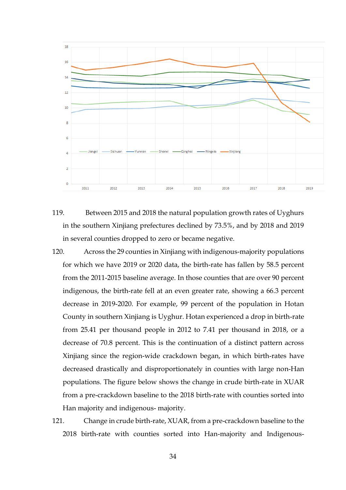

- 119. Between 2015 and 2018 the natural population growth rates of Uyghurs in the southern Xinjiang prefectures declined by 73.5%, and by 2018 and 2019 in several counties dropped to zero or became negative.
- 120. Across the 29 counties in Xinjiang with indigenous-majority populations for which we have 2019 or 2020 data, the birth-rate has fallen by 58.5 percent from the 2011-2015 baseline average. In those counties that are over 90 percent indigenous, the birth-rate fell at an even greater rate, showing a 66.3 percent decrease in 2019-2020. For example, 99 percent of the population in Hotan County in southern Xinjiang is Uyghur. Hotan experienced a drop in birth-rate from 25.41 per thousand people in 2012 to 7.41 per thousand in 2018, or a decrease of 70.8 percent. This is the continuation of a distinct pattern across Xinjiang since the region-wide crackdown began, in which birth-rates have decreased drastically and disproportionately in counties with large non-Han populations. The figure below shows the change in crude birth-rate in XUAR from a pre-crackdown baseline to the 2018 birth-rate with counties sorted into Han majority and indigenous- majority.
- 121. Change in crude birth-rate, XUAR, from a pre-crackdown baseline to the 2018 birth-rate with counties sorted into Han-majority and Indigenous-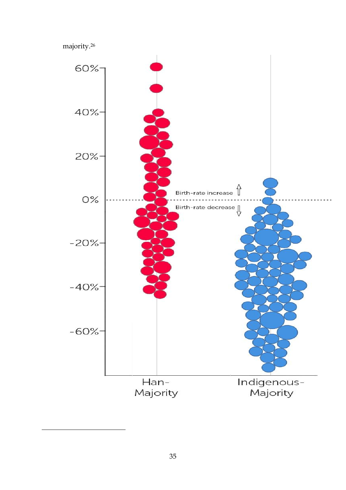majority.<sup>26</sup>

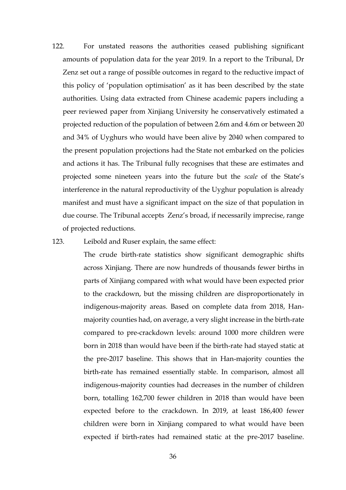122. For unstated reasons the authorities ceased publishing significant amounts of population data for the year 2019. In a report to the Tribunal, Dr Zenz set out a range of possible outcomes in regard to the reductive impact of this policy of 'population optimisation' as it has been described by the state authorities. Using data extracted from Chinese academic papers including a peer reviewed paper from Xinjiang University he conservatively estimated a projected reduction of the population of between 2.6m and 4.6m or between 20 and 34% of Uyghurs who would have been alive by 2040 when compared to the present population projections had the State not embarked on the policies and actions it has. The Tribunal fully recognises that these are estimates and projected some nineteen years into the future but the *scale* of the State's interference in the natural reproductivity of the Uyghur population is already manifest and must have a significant impact on the size of that population in due course. The Tribunal accepts Zenz's broad, if necessarily imprecise, range of projected reductions.

#### 123. Leibold and Ruser explain, the same effect:

The crude birth-rate statistics show significant demographic shifts across Xinjiang. There are now hundreds of thousands fewer births in parts of Xinjiang compared with what would have been expected prior to the crackdown, but the missing children are disproportionately in indigenous-majority areas. Based on complete data from 2018, Hanmajority counties had, on average, a very slight increase in the birth-rate compared to pre-crackdown levels: around 1000 more children were born in 2018 than would have been if the birth-rate had stayed static at the pre-2017 baseline. This shows that in Han-majority counties the birth-rate has remained essentially stable. In comparison, almost all indigenous-majority counties had decreases in the number of children born, totalling 162,700 fewer children in 2018 than would have been expected before to the crackdown. In 2019, at least 186,400 fewer children were born in Xinjiang compared to what would have been expected if birth-rates had remained static at the pre-2017 baseline.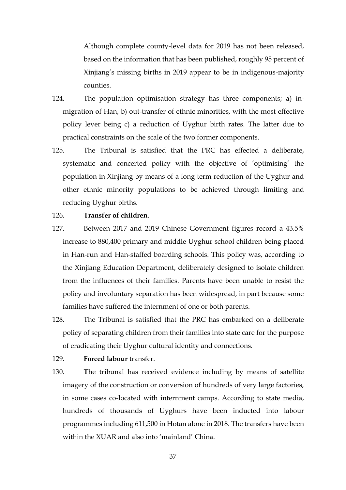Although complete county-level data for 2019 has not been released, based on the information that has been published, roughly 95 percent of Xinjiang's missing births in 2019 appear to be in indigenous-majority counties.

- 124. The population optimisation strategy has three components; a) inmigration of Han, b) out-transfer of ethnic minorities, with the most effective policy lever being c) a reduction of Uyghur birth rates. The latter due to practical constraints on the scale of the two former components.
- 125. The Tribunal is satisfied that the PRC has effected a deliberate, systematic and concerted policy with the objective of 'optimising' the population in Xinjiang by means of a long term reduction of the Uyghur and other ethnic minority populations to be achieved through limiting and reducing Uyghur births.

## 126. **Transfer of children**.

- 127. Between 2017 and 2019 Chinese Government figures record a 43.5% increase to 880,400 primary and middle Uyghur school children being placed in Han-run and Han-staffed boarding schools. This policy was, according to the Xinjiang Education Department, deliberately designed to isolate children from the influences of their families. Parents have been unable to resist the policy and involuntary separation has been widespread, in part because some families have suffered the internment of one or both parents.
- 128. The Tribunal is satisfied that the PRC has embarked on a deliberate policy of separating children from their families into state care for the purpose of eradicating their Uyghur cultural identity and connections.

129. **Forced labour** transfer.

130. **T**he tribunal has received evidence including by means of satellite imagery of the construction or conversion of hundreds of very large factories, in some cases co-located with internment camps. According to state media, hundreds of thousands of Uyghurs have been inducted into labour programmes including 611,500 in Hotan alone in 2018. The transfers have been within the XUAR and also into 'mainland' China.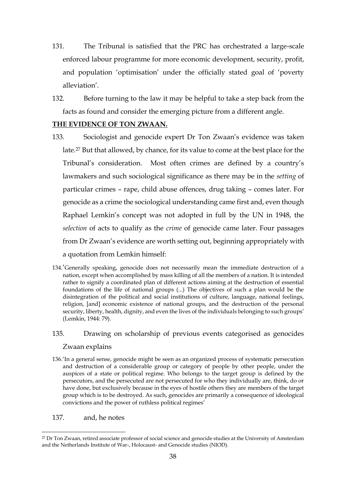- 131. The Tribunal is satisfied that the PRC has orchestrated a large-scale enforced labour programme for more economic development, security, profit, and population 'optimisation' under the officially stated goal of 'poverty alleviation'.
- 132. Before turning to the law it may be helpful to take a step back from the facts as found and consider the emerging picture from a different angle.

# **THE EVIDENCE OF TON ZWAAN.**

- 133. Sociologist and genocide expert Dr Ton Zwaan's evidence was taken late.<sup>27</sup> But that allowed, by chance, for its value to come at the best place for the Tribunal's consideration. Most often crimes are defined by a country's lawmakers and such sociological significance as there may be in the *setting* of particular crimes – rape, child abuse offences, drug taking – comes later. For genocide as a crime the sociological understanding came first and, even though Raphael Lemkin's concept was not adopted in full by the UN in 1948, the *selection* of acts to qualify as the *crime* of genocide came later. Four passages from Dr Zwaan's evidence are worth setting out, beginning appropriately with a quotation from Lemkin himself:
- 134.'Generally speaking, genocide does not necessarily mean the immediate destruction of a nation, except when accomplished by mass killing of all the members of a nation. It is intended rather to signify a coordinated plan of different actions aiming at the destruction of essential foundations of the life of national groups (...) The objectives of such a plan would be the disintegration of the political and social institutions of culture, language, national feelings, religion, [and] economic existence of national groups, and the destruction of the personal security, liberty, health, dignity, and even the lives of the individuals belonging to such groups' (Lemkin, 1944: 79).

# 135. Drawing on scholarship of previous events categorised as genocides Zwaan explains

- 136.'In a general sense, genocide might be seen as an organized process of systematic persecution and destruction of a considerable group or category of people by other people, under the auspices of a state or political regime. Who belongs to the target group is defined by the persecutors, and the persecuted are not persecuted for who they individually are, think, do or have done, but exclusively because in the eyes of hostile others they are members of the target group which is to be destroyed. As such, genocides are primarily a consequence of ideological convictions and the power of ruthless political regimes'
- 137. and, he notes

<sup>27</sup> Dr Ton Zwaan, retired associate professor of social science and genocide studies at the University of Amsterdam and the Netherlands Institute of War-, Holocaust- and Genocide studies (NIOD).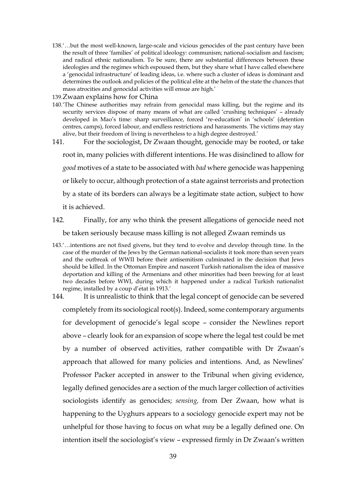- 138.'…but the most well-known, large-scale and vicious genocides of the past century have been the result of three 'families' of political ideology: communism; national-socialism and fascism; and radical ethnic nationalism. To be sure, there are substantial differences between these ideologies and the regimes which espoused them, but they share what I have called elsewhere a 'genocidal infrastructure' of leading ideas, i.e. where such a cluster of ideas is dominant and determines the outlook and policies of the political elite at the helm of the state the chances that mass atrocities and genocidal activities will ensue are high.'
- 139.Zwaan explains how for China
- 140.'The Chinese authorities may refrain from genocidal mass killing, but the regime and its security services dispose of many means of what are called 'crushing techniques' – already developed in Mao's time: sharp surveillance, forced 're-education' in 'schools' (detention centres, camps), forced labour, and endless restrictions and harassments. The victims may stay alive, but their freedom of living is nevertheless to a high degree destroyed.'
- 141. For the sociologist, Dr Zwaan thought, genocide may be rooted, or take

root in, many policies with different intentions. He was disinclined to allow for

*good* motives of a state to be associated with *bad* where genocide was happening

or likely to occur, although protection of a state against terrorists and protection

by a state of its borders can always be a legitimate state action, subject to how it is achieved.

142. Finally, for any who think the present allegations of genocide need not be taken seriously because mass killing is not alleged Zwaan reminds us

- 143.'…intentions are not fixed givens, but they tend to evolve and develop through time. In the case of the murder of the Jews by the German national-socialists it took more than seven years and the outbreak of WWII before their antisemitism culminated in the decision that Jews should be killed. In the Ottoman Empire and nascent Turkish nationalism the idea of massive deportation and killing of the Armenians and other minorities had been brewing for at least two decades before WWI, during which it happened under a radical Turkish nationalist regime, installed by a coup d'etat in 1913.'
- 144. It is unrealistic to think that the legal concept of genocide can be severed completely from its sociological root(s). Indeed, some contemporary arguments for development of genocide's legal scope – consider the Newlines report above – clearly look for an expansion of scope where the legal test could be met by a number of observed activities, rather compatible with Dr Zwaan's approach that allowed for many policies and intentions. And, as Newlines' Professor Packer accepted in answer to the Tribunal when giving evidence, legally defined genocides are a section of the much larger collection of activities sociologists identify as genocides; *sensing,* from Der Zwaan, how what is happening to the Uyghurs appears to a sociology genocide expert may not be unhelpful for those having to focus on what *may* be a legally defined one. On intention itself the sociologist's view – expressed firmly in Dr Zwaan's written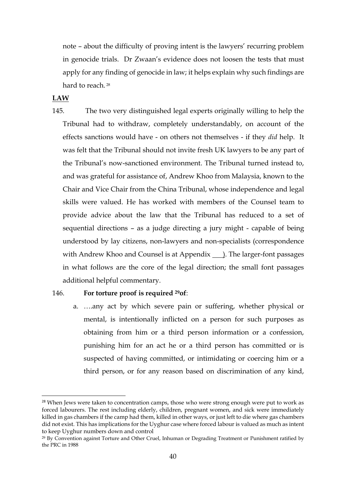note – about the difficulty of proving intent is the lawyers' recurring problem in genocide trials. Dr Zwaan's evidence does not loosen the tests that must apply for any finding of genocide in law; it helps explain why such findings are hard to reach.<sup>28</sup>

**LAW**

<u>.</u>

145. The two very distinguished legal experts originally willing to help the Tribunal had to withdraw, completely understandably, on account of the effects sanctions would have - on others not themselves - if they *did* help. It was felt that the Tribunal should not invite fresh UK lawyers to be any part of the Tribunal's now-sanctioned environment. The Tribunal turned instead to, and was grateful for assistance of, Andrew Khoo from Malaysia, known to the Chair and Vice Chair from the China Tribunal, whose independence and legal skills were valued. He has worked with members of the Counsel team to provide advice about the law that the Tribunal has reduced to a set of sequential directions – as a judge directing a jury might - capable of being understood by lay citizens, non-lawyers and non-specialists (correspondence with Andrew Khoo and Counsel is at Appendix 1. The larger-font passages in what follows are the core of the legal direction; the small font passages additional helpful commentary.

#### 146. **For torture proof is required 29of**:

a. ….any act by which severe pain or suffering, whether physical or mental, is intentionally inflicted on a person for such purposes as obtaining from him or a third person information or a confession, punishing him for an act he or a third person has committed or is suspected of having committed, or intimidating or coercing him or a third person, or for any reason based on discrimination of any kind,

<sup>&</sup>lt;sup>28</sup> When Jews were taken to concentration camps, those who were strong enough were put to work as forced labourers. The rest including elderly, children, pregnant women, and sick were immediately killed in gas chambers if the camp had them, killed in other ways, or just left to die where gas chambers did not exist. This has implications for the Uyghur case where forced labour is valued as much as intent to keep Uyghur numbers down and control

<sup>29</sup> By Convention against Torture and Other Cruel, Inhuman or Degrading Treatment or Punishment ratified by the PRC in 1988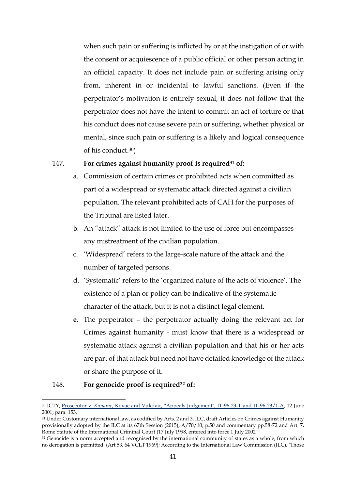when such pain or suffering is inflicted by or at the instigation of or with the consent or acquiescence of a public official or other person acting in an official capacity. It does not include pain or suffering arising only from, inherent in or incidental to lawful sanctions. (Even if the perpetrator's motivation is entirely sexual, it does not follow that the perpetrator does not have the intent to commit an act of torture or that his conduct does not cause severe pain or suffering, whether physical or mental, since such pain or suffering is a likely and logical consequence of his conduct.30)

## 147. **For crimes against humanity proof is required<sup>31</sup> of:**

- a. Commission of certain crimes or prohibited acts when committed as part of a widespread or systematic attack directed against a civilian population. The relevant prohibited acts of CAH for the purposes of the Tribunal are listed later.
- b. An "attack" attack is not limited to the use of force but encompasses any mistreatment of the civilian population.
- c. 'Widespread' refers to the large-scale nature of the attack and the number of targeted persons.
- d. 'Systematic' refers to the 'organized nature of the acts of violence'. The existence of a plan or policy can be indicative of the systematic character of the attack, but it is not a distinct legal element.
- **e.** The perpetrator the perpetrator actually doing the relevant act for Crimes against humanity - must know that there is a widespread or systematic attack against a civilian population and that his or her acts are part of that attack but need not have detailed knowledge of the attack or share the purpose of it.

#### 148. **For genocide proof is required<sup>32</sup> of:**

<sup>30</sup> ICTY, Prosecutor v. *Kunarac*[, Kovac and Vukovic, "Appeals Judgement", IT-96-23-T and IT-96-23/1-A,](http://www.legal-tools.org/doc/029a09/) 12 June 2001, para. 153.

<sup>&</sup>lt;sup>31</sup> Under Customary international law, as codified by Arts. 2 and 3, ILC, draft Articles on Crimes against Humanity provisionally adopted by the ILC at its 67th Session (2015), A/70/10, p.50 and commentary pp.58-72 and Art. 7, Rome Statute of the International Criminal Court (17 July 1998, entered into force 1 July 2002

<sup>&</sup>lt;sup>32</sup> Genocide is a norm accepted and recognised by the international community of states as a whole, from which no derogation is permitted. (Art 53, 64 VCLT 1969); According to the International Law Commission (ILC), 'Those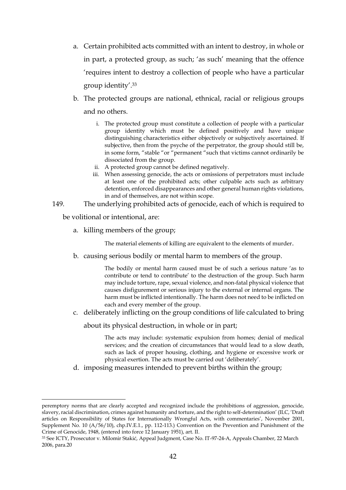- a. Certain prohibited acts committed with an intent to destroy, in whole or in part, a protected group, as such; 'as such' meaning that the offence 'requires intent to destroy a collection of people who have a particular group identity'. 33
- b. The protected groups are national, ethnical, racial or religious groups and no others.
	- i. The protected group must constitute a collection of people with a particular group identity which must be defined positively and have unique distinguishing characteristics either objectively or subjectively ascertained. If subjective, then from the psyche of the perpetrator, the group should still be, in some form, "stable "or "permanent "such that victims cannot ordinarily be dissociated from the group.
	- ii. A protected group cannot be defined negatively.
	- iii. When assessing genocide, the acts or omissions of perpetrators must include at least one of the prohibited acts; other culpable acts such as arbitrary detention, enforced disappearances and other general human rights violations, in and of themselves, are not within scope.
- 149. The underlying prohibited acts of genocide, each of which is required to

be volitional or intentional, are:

1

a. killing members of the group;

The material elements of killing are equivalent to the elements of murder.

b. causing serious bodily or mental harm to members of the group.

The bodily or mental harm caused must be of such a serious nature 'as to contribute or tend to contribute' to the destruction of the group. Such harm may include torture, rape, sexual violence, and non-fatal physical violence that causes disfigurement or serious injury to the external or internal organs. The harm must be inflicted intentionally. The harm does not need to be inflicted on each and every member of the group.

c. deliberately inflicting on the group conditions of life calculated to bring

about its physical destruction, in whole or in part;

The acts may include: systematic expulsion from homes; denial of medical services; and the creation of circumstances that would lead to a slow death, such as lack of proper housing, clothing, and hygiene or excessive work or physical exertion. The acts must be carried out 'deliberately'.

d. imposing measures intended to prevent births within the group;

peremptory norms that are clearly accepted and recognized include the prohibitions of aggression, genocide, slavery, racial discrimination, crimes against humanity and torture, and the right to self-determination' (ILC, 'Draft articles on Responsibility of States for Internationally Wrongful Acts, with commentaries', November 2001, Supplement No. 10 (A/56/10), chp.IV.E.1., pp. 112-113.) Convention on the Prevention and Punishment of the Crime of Genocide, 1948, (entered into force 12 January 1951), art. II.

<sup>33</sup> See ICTY, Prosecutor v. Milomir Stakić, Appeal Judgment, Case No. IT-97-24-A, Appeals Chamber, 22 March 2006, para.20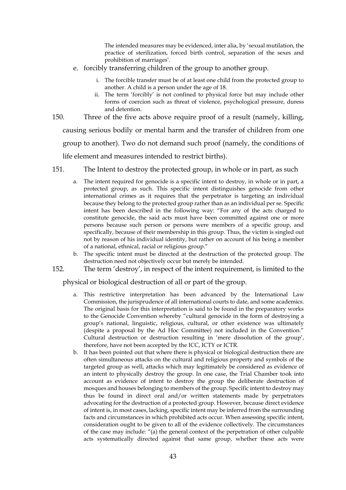The intended measures may be evidenced, inter alia, by 'sexual mutilation, the practice of sterilization, forced birth control, separation of the sexes and prohibition of marriages'.

- e. forcibly transferring children of the group to another group.
	- i. The forcible transfer must be of at least one child from the protected group to another. A child is a person under the age of 18.
	- ii. The term 'forcibly' is not confined to physical force but may include other forms of coercion such as threat of violence, psychological pressure, duress and detention.
- 150. Three of the five acts above require proof of a result (namely, killing, causing serious bodily or mental harm and the transfer of children from one

group to another). Two do not demand such proof (namely, the conditions of

life element and measures intended to restrict births).

- 151. The Intent to destroy the protected group, in whole or in part, as such
	- a. The intent required for genocide is a specific intent to destroy, in whole or in part, a protected group, as such. This specific intent distinguishes genocide from other international crimes as it requires that the perpetrator is targeting an individual because they belong to the protected group rather than as an individual per se. Specific intent has been described in the following way: "For any of the acts charged to constitute genocide, the said acts must have been committed against one or more persons because such person or persons were members of a specific group, and specifically, because of their membership in this group. Thus, the victim is singled out not by reason of his individual identity, but rather on account of his being a member of a national, ethnical, racial or religious group."
	- b. The specific intent must be directed at the destruction of the protected group. The destruction need not objectively occur but merely be intended.
- 152. The term 'destroy', in respect of the intent requirement, is limited to the

physical or biological destruction of all or part of the group.

- a. This restrictive interpretation has been advanced by the International Law Commission, the jurisprudence of all international courts to date, and some academics. The original basis for this interpretation is said to be found in the preparatory works to the Genocide Convention whereby "cultural genocide in the form of destroying a group's national, linguistic, religious, cultural, or other existence was ultimately (despite a proposal by the Ad Hoc Committee) not included in the Convention." Cultural destruction or destruction resulting in 'mere dissolution of the group', therefore, have not been accepted by the ICC, ICTY or ICTR.
- b. It has been pointed out that where there is physical or biological destruction there are often simultaneous attacks on the cultural and religious property and symbols of the targeted group as well, attacks which may legitimately be considered as evidence of an intent to physically destroy the group. In one case, the Trial Chamber took into account as evidence of intent to destroy the group the deliberate destruction of mosques and houses belonging to members of the group. Specific intent to destroy may thus be found in direct oral and/or written statements made by perpetrators advocating for the destruction of a protected group. However, because direct evidence of intent is, in most cases, lacking, specific intent may be inferred from the surrounding facts and circumstances in which prohibited acts occur. When assessing specific intent, consideration ought to be given to all of the evidence collectively. The circumstances of the case may include: "(a) the general context of the perpetration of other culpable acts systematically directed against that same group, whether these acts were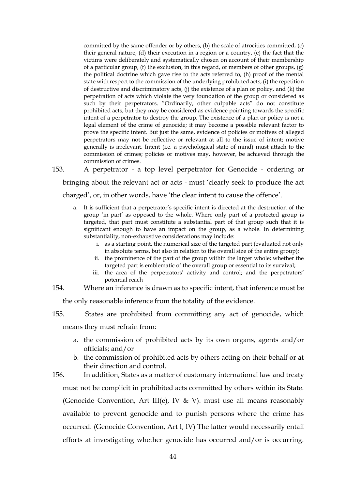committed by the same offender or by others, (b) the scale of atrocities committed, (c) their general nature, (d) their execution in a region or a country, (e) the fact that the victims were deliberately and systematically chosen on account of their membership of a particular group, (f) the exclusion, in this regard, of members of other groups,  $(g)$ the political doctrine which gave rise to the acts referred to, (h) proof of the mental state with respect to the commission of the underlying prohibited acts, (i) the repetition of destructive and discriminatory acts, (j) the existence of a plan or policy, and (k) the perpetration of acts which violate the very foundation of the group or considered as such by their perpetrators. "Ordinarily, other culpable acts" do not constitute prohibited acts, but they may be considered as evidence pointing towards the specific intent of a perpetrator to destroy the group. The existence of a plan or policy is not a legal element of the crime of genocide; it may become a possible relevant factor to prove the specific intent. But just the same, evidence of policies or motives of alleged perpetrators may not be reflective or relevant at all to the issue of intent; motive generally is irrelevant. Intent (i.e. a psychological state of mind) must attach to the commission of crimes; policies or motives may, however, be achieved through the commission of crimes.

153. A perpetrator - a top level perpetrator for Genocide - ordering or

bringing about the relevant act or acts - must 'clearly seek to produce the act charged', or, in other words, have 'the clear intent to cause the offence'.

- a. It is sufficient that a perpetrator's specific intent is directed at the destruction of the group 'in part' as opposed to the whole. Where only part of a protected group is targeted, that part must constitute a substantial part of that group such that it is significant enough to have an impact on the group, as a whole. In determining substantiality, non-exhaustive considerations may include:
	- i. as a starting point, the numerical size of the targeted part (evaluated not only in absolute terms, but also in relation to the overall size of the entire group);
	- ii. the prominence of the part of the group within the larger whole; whether the targeted part is emblematic of the overall group or essential to its survival;
	- iii. the area of the perpetrators' activity and control; and the perpetrators' potential reach
- 154. Where an inference is drawn as to specific intent, that inference must be

the only reasonable inference from the totality of the evidence.

155. States are prohibited from committing any act of genocide, which

means they must refrain from:

- a. the commission of prohibited acts by its own organs, agents and/or officials; and/or
- b. the commission of prohibited acts by others acting on their behalf or at their direction and control.
- 156. In addition, States as a matter of customary international law and treaty must not be complicit in prohibited acts committed by others within its State. (Genocide Convention, Art III(e), IV & V). must use all means reasonably available to prevent genocide and to punish persons where the crime has occurred. (Genocide Convention, Art I, IV) The latter would necessarily entail efforts at investigating whether genocide has occurred and/or is occurring.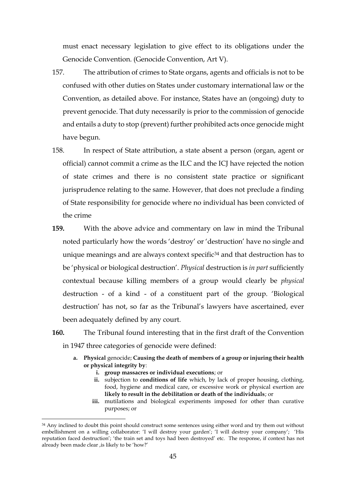must enact necessary legislation to give effect to its obligations under the Genocide Convention. (Genocide Convention, Art V).

- 157. The attribution of crimes to State organs, agents and officials is not to be confused with other duties on States under customary international law or the Convention, as detailed above. For instance, States have an (ongoing) duty to prevent genocide. That duty necessarily is prior to the commission of genocide and entails a duty to stop (prevent) further prohibited acts once genocide might have begun.
- 158. In respect of State attribution, a state absent a person (organ, agent or official) cannot commit a crime as the ILC and the ICJ have rejected the notion of state crimes and there is no consistent state practice or significant jurisprudence relating to the same. However, that does not preclude a finding of State responsibility for genocide where no individual has been convicted of the crime
- **159.** With the above advice and commentary on law in mind the Tribunal noted particularly how the words 'destroy' or 'destruction' have no single and unique meanings and are always context specific<sup>34</sup> and that destruction has to be 'physical or biological destruction'. *Physical* destruction is *in part* sufficiently contextual because killing members of a group would clearly be *physical* destruction - of a kind - of a constituent part of the group. 'Biological destruction' has not, so far as the Tribunal's lawyers have ascertained, ever been adequately defined by any court.
- **160.** The Tribunal found interesting that in the first draft of the Convention in 1947 three categories of genocide were defined:
	- **a. Physical** genocide; **Causing the death of members of a group or injuring their health or physical integrity by**:
		- **i. group massacres or individual executions**; or

<u>.</u>

- **ii.** subjection to **conditions of life** which, by lack of proper housing, clothing, food, hygiene and medical care, or excessive work or physical exertion are **likely to result in the debilitation or death of the individuals**; or
- **iii.** mutilations and biological experiments imposed for other than curative purposes; or

<sup>&</sup>lt;sup>34</sup> Any inclined to doubt this point should construct some sentences using either word and try them out without embellishment on a willing collaborator: 'I will destroy your garden'; 'I will destroy your company'; 'His reputation faced destruction'; 'the train set and toys had been destroyed' etc. The response, if context has not already been made clear ,is likely to be 'how?'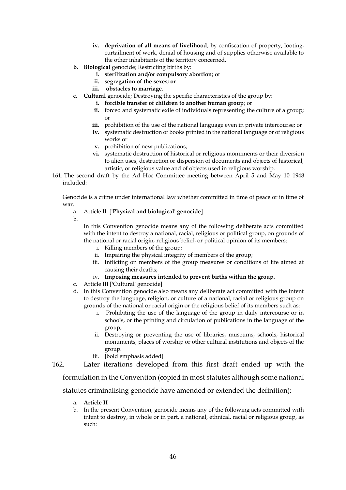- **iv. deprivation of all means of livelihood**, by confiscation of property, looting, curtailment of work, denial of housing and of supplies otherwise available to the other inhabitants of the territory concerned.
- **b. Biological** genocide; Restricting births by:
	- **i. sterilization and/or compulsory abortion;** or
	- **ii. segregation of the sexes; or**
	- **iii. obstacles to marriage**.
- **c. Cultural** genocide; Destroying the specific characteristics of the group by:
	- **i. forcible transfer of children to another human group**; or
	- **ii.** forced and systematic exile of individuals representing the culture of a group; or
	- **iii.** prohibition of the use of the national language even in private intercourse; or
	- **iv.** systematic destruction of books printed in the national language or of religious works or
	- **v.** prohibition of new publications;
	- **vi.** systematic destruction of historical or religious monuments or their diversion to alien uses, destruction or dispersion of documents and objects of historical, artistic, or religious value and of objects used in religious worship.
- 161. The second draft by the Ad Hoc Committee meeting between April 5 and May 10 1948 included:

Genocide is a crime under international law whether committed in time of peace or in time of war.

#### a. Article II: [**'Physical and biological' genocide**]

b.

In this Convention genocide means any of the following deliberate acts committed with the intent to destroy a national, racial, religious or political group, on grounds of the national or racial origin, religious belief, or political opinion of its members:

- i. Killing members of the group;
- ii. Impairing the physical integrity of members of the group;
- iii. Inflicting on members of the group measures or conditions of life aimed at causing their deaths;
- iv. **Imposing measures intended to prevent births within the group.**
- c. Article III ['Cultural' genocide]
- d. In this Convention genocide also means any deliberate act committed with the intent to destroy the language, religion, or culture of a national, racial or religious group on grounds of the national or racial origin or the religious belief of its members such as:
	- i. Prohibiting the use of the language of the group in daily intercourse or in schools, or the printing and circulation of publications in the language of the group;
	- ii. Destroying or preventing the use of libraries, museums, schools, historical monuments, places of worship or other cultural institutions and objects of the group.
	- iii. [bold emphasis added]
- 162. Later iterations developed from this first draft ended up with the

formulation in the Convention (copied in most statutes although some national

statutes criminalising genocide have amended or extended the definition):

- **a. Article II**
- b. In the present Convention, genocide means any of the following acts committed with intent to destroy, in whole or in part, a national, ethnical, racial or religious group, as such: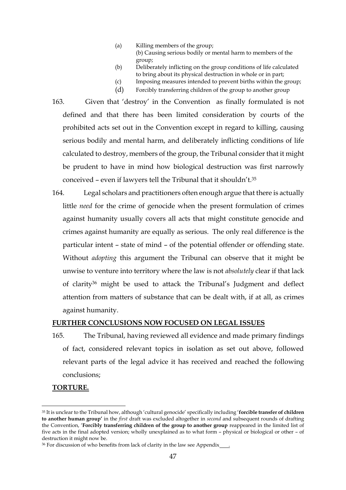- (a) Killing members of the group;
	- (b) Causing serious bodily or mental harm to members of the group;
- (b) Deliberately inflicting on the group conditions of life calculated to bring about its physical destruction in whole or in part;
- (c) Imposing measures intended to prevent births within the group;
- (d) Forcibly transferring children of the group to another group
- 163. Given that 'destroy' in the Convention as finally formulated is not defined and that there has been limited consideration by courts of the prohibited acts set out in the Convention except in regard to killing, causing serious bodily and mental harm, and deliberately inflicting conditions of life calculated to destroy, members of the group, the Tribunal consider that it might be prudent to have in mind how biological destruction was first narrowly conceived – even if lawyers tell the Tribunal that it shouldn't.<sup>35</sup>
- 164. Legal scholars and practitioners often enough argue that there is actually little *need* for the crime of genocide when the present formulation of crimes against humanity usually covers all acts that might constitute genocide and crimes against humanity are equally as serious. The only real difference is the particular intent – state of mind – of the potential offender or offending state. Without *adopting* this argument the Tribunal can observe that it might be unwise to venture into territory where the law is not *absolutely* clear if that lack of clarity<sup>36</sup> might be used to attack the Tribunal's Judgment and deflect attention from matters of substance that can be dealt with, if at all, as crimes against humanity.

#### **FURTHER CONCLUSIONS NOW FOCUSED ON LEGAL ISSUES**

165. The Tribunal, having reviewed all evidence and made primary findings of fact, considered relevant topics in isolation as set out above, followed relevant parts of the legal advice it has received and reached the following conclusions;

## **TORTURE.**

<sup>35</sup> It is unclear to the Tribunal how, although 'cultural genocide' specifically including '**forcible transfer of children to another human group'** in the *first* draft was excluded altogether in *second* and subsequent rounds of drafting the Convention, '**Forcibly transferring children of the group to another group** reappeared in the limited list of five acts in the final adopted version; wholly unexplained as to what form – physical or biological or other – of destruction it might now be.

<sup>&</sup>lt;sup>36</sup> For discussion of who benefits from lack of clarity in the law see Appendix  $\frac{1}{\sqrt{2}}$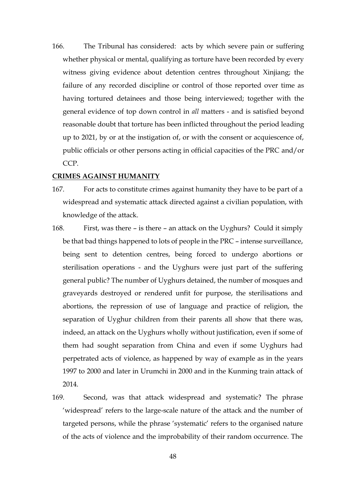166. The Tribunal has considered: acts by which severe pain or suffering whether physical or mental, qualifying as torture have been recorded by every witness giving evidence about detention centres throughout Xinjiang; the failure of any recorded discipline or control of those reported over time as having tortured detainees and those being interviewed; together with the general evidence of top down control in *all* matters - and is satisfied beyond reasonable doubt that torture has been inflicted throughout the period leading up to 2021, by or at the instigation of, or with the consent or acquiescence of, public officials or other persons acting in official capacities of the PRC and/or CCP.

#### **CRIMES AGAINST HUMANITY**

- 167. For acts to constitute crimes against humanity they have to be part of a widespread and systematic attack directed against a civilian population, with knowledge of the attack.
- 168. First, was there is there an attack on the Uyghurs? Could it simply be that bad things happened to lots of people in the PRC – intense surveillance, being sent to detention centres, being forced to undergo abortions or sterilisation operations - and the Uyghurs were just part of the suffering general public? The number of Uyghurs detained, the number of mosques and graveyards destroyed or rendered unfit for purpose, the sterilisations and abortions, the repression of use of language and practice of religion, the separation of Uyghur children from their parents all show that there was, indeed, an attack on the Uyghurs wholly without justification, even if some of them had sought separation from China and even if some Uyghurs had perpetrated acts of violence, as happened by way of example as in the years 1997 to 2000 and later in Urumchi in 2000 and in the Kunming train attack of 2014.
- 169. Second, was that attack widespread and systematic? The phrase 'widespread' refers to the large-scale nature of the attack and the number of targeted persons, while the phrase 'systematic' refers to the organised nature of the acts of violence and the improbability of their random occurrence. The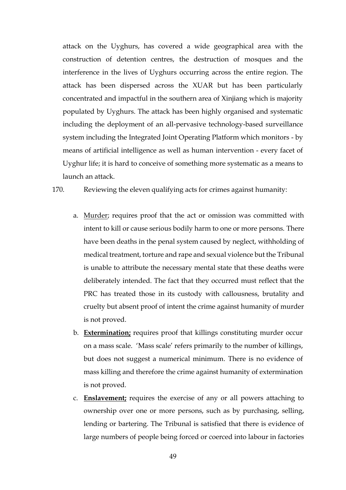attack on the Uyghurs, has covered a wide geographical area with the construction of detention centres, the destruction of mosques and the interference in the lives of Uyghurs occurring across the entire region. The attack has been dispersed across the XUAR but has been particularly concentrated and impactful in the southern area of Xinjiang which is majority populated by Uyghurs. The attack has been highly organised and systematic including the deployment of an all-pervasive technology-based surveillance system including the Integrated Joint Operating Platform which monitors - by means of artificial intelligence as well as human intervention - every facet of Uyghur life; it is hard to conceive of something more systematic as a means to launch an attack.

170. Reviewing the eleven qualifying acts for crimes against humanity:

- a. Murder; requires proof that the act or omission was committed with intent to kill or cause serious bodily harm to one or more persons. There have been deaths in the penal system caused by neglect, withholding of medical treatment, torture and rape and sexual violence but the Tribunal is unable to attribute the necessary mental state that these deaths were deliberately intended. The fact that they occurred must reflect that the PRC has treated those in its custody with callousness, brutality and cruelty but absent proof of intent the crime against humanity of murder is not proved.
- b. **Extermination;** requires proof that killings constituting murder occur on a mass scale. 'Mass scale' refers primarily to the number of killings, but does not suggest a numerical minimum. There is no evidence of mass killing and therefore the crime against humanity of extermination is not proved.
- c. **Enslavement;** requires the exercise of any or all powers attaching to ownership over one or more persons, such as by purchasing, selling, lending or bartering. The Tribunal is satisfied that there is evidence of large numbers of people being forced or coerced into labour in factories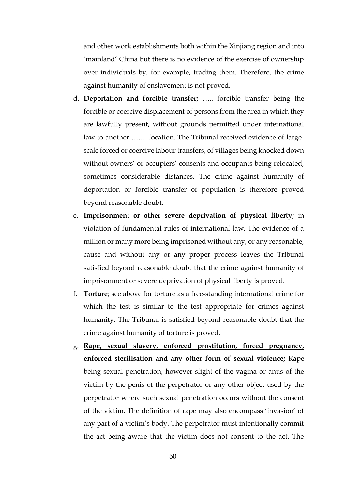and other work establishments both within the Xinjiang region and into 'mainland' China but there is no evidence of the exercise of ownership over individuals by, for example, trading them. Therefore, the crime against humanity of enslavement is not proved.

- d. **Deportation and forcible transfer;** ….. forcible transfer being the forcible or coercive displacement of persons from the area in which they are lawfully present, without grounds permitted under international law to another ……. location. The Tribunal received evidence of largescale forced or coercive labour transfers, of villages being knocked down without owners' or occupiers' consents and occupants being relocated, sometimes considerable distances. The crime against humanity of deportation or forcible transfer of population is therefore proved beyond reasonable doubt.
- e. **Imprisonment or other severe deprivation of physical liberty;** in violation of fundamental rules of international law. The evidence of a million or many more being imprisoned without any, or any reasonable, cause and without any or any proper process leaves the Tribunal satisfied beyond reasonable doubt that the crime against humanity of imprisonment or severe deprivation of physical liberty is proved.
- f. **Torture**; see above for torture as a free-standing international crime for which the test is similar to the test appropriate for crimes against humanity. The Tribunal is satisfied beyond reasonable doubt that the crime against humanity of torture is proved.
- g. **Rape, sexual slavery, enforced prostitution, forced pregnancy, enforced sterilisation and any other form of sexual violence;** Rape being sexual penetration, however slight of the vagina or anus of the victim by the penis of the perpetrator or any other object used by the perpetrator where such sexual penetration occurs without the consent of the victim. The definition of rape may also encompass 'invasion' of any part of a victim's body. The perpetrator must intentionally commit the act being aware that the victim does not consent to the act. The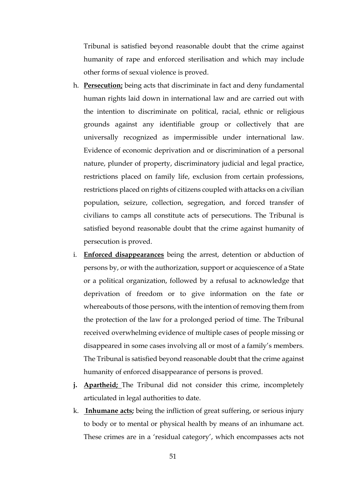Tribunal is satisfied beyond reasonable doubt that the crime against humanity of rape and enforced sterilisation and which may include other forms of sexual violence is proved.

- h. **Persecution;** being acts that discriminate in fact and deny fundamental human rights laid down in international law and are carried out with the intention to discriminate on political, racial, ethnic or religious grounds against any identifiable group or collectively that are universally recognized as impermissible under international law. Evidence of economic deprivation and or discrimination of a personal nature, plunder of property, discriminatory judicial and legal practice, restrictions placed on family life, exclusion from certain professions, restrictions placed on rights of citizens coupled with attacks on a civilian population, seizure, collection, segregation, and forced transfer of civilians to camps all constitute acts of persecutions. The Tribunal is satisfied beyond reasonable doubt that the crime against humanity of persecution is proved.
- i. **Enforced disappearances** being the arrest, detention or abduction of persons by, or with the authorization, support or acquiescence of a State or a political organization, followed by a refusal to acknowledge that deprivation of freedom or to give information on the fate or whereabouts of those persons, with the intention of removing them from the protection of the law for a prolonged period of time. The Tribunal received overwhelming evidence of multiple cases of people missing or disappeared in some cases involving all or most of a family's members. The Tribunal is satisfied beyond reasonable doubt that the crime against humanity of enforced disappearance of persons is proved.
- **j. Apartheid;** The Tribunal did not consider this crime, incompletely articulated in legal authorities to date.
- k. **Inhumane acts;** being the infliction of great suffering, or serious injury to body or to mental or physical health by means of an inhumane act. These crimes are in a 'residual category', which encompasses acts not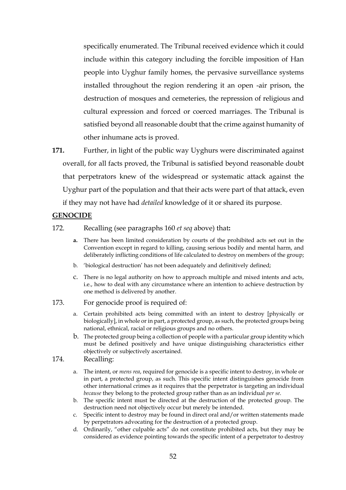specifically enumerated. The Tribunal received evidence which it could include within this category including the forcible imposition of Han people into Uyghur family homes, the pervasive surveillance systems installed throughout the region rendering it an open -air prison, the destruction of mosques and cemeteries, the repression of religious and cultural expression and forced or coerced marriages. The Tribunal is satisfied beyond all reasonable doubt that the crime against humanity of other inhumane acts is proved.

**171.** Further, in light of the public way Uyghurs were discriminated against overall, for all facts proved, the Tribunal is satisfied beyond reasonable doubt that perpetrators knew of the widespread or systematic attack against the Uyghur part of the population and that their acts were part of that attack, even if they may not have had *detailed* knowledge of it or shared its purpose.

## **GENOCIDE**

#### 172. Recalling (see paragraphs 160 *et seq* above) that**:**

- **a.** There has been limited consideration by courts of the prohibited acts set out in the Convention except in regard to killing, causing serious bodily and mental harm, and deliberately inflicting conditions of life calculated to destroy on members of the group;
- b. 'biological destruction' has not been adequately and definitively defined;
- c. There is no legal authority on how to approach multiple and mixed intents and acts, i.e., how to deal with any circumstance where an intention to achieve destruction by one method is delivered by another.

#### 173. For genocide proof is required of:

- a. Certain prohibited acts being committed with an intent to destroy [physically or biologically], in whole or in part, a protected group, as such, the protected groups being national, ethnical, racial or religious groups and no others.
- b. The protected group being a collection of people with a particular group identity which must be defined positively and have unique distinguishing characteristics either objectively or subjectively ascertained.
- 174. Recalling:
	- a. The intent, or *mens rea*, required for genocide is a specific intent to destroy, in whole or in part, a protected group, as such. This specific intent distinguishes genocide from other international crimes as it requires that the perpetrator is targeting an individual *because* they belong to the protected group rather than as an individual *per se*.
	- b. The specific intent must be directed at the destruction of the protected group. The destruction need not objectively occur but merely be intended.
	- c. Specific intent to destroy may be found in direct oral and/or written statements made by perpetrators advocating for the destruction of a protected group.
	- d. Ordinarily, "other culpable acts" do not constitute prohibited acts, but they may be considered as evidence pointing towards the specific intent of a perpetrator to destroy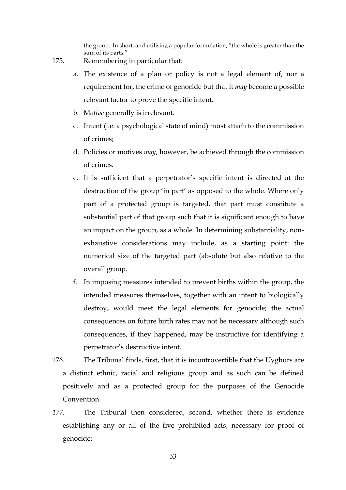the group. In short, and utilising a popular formulation, "the whole is greater than the sum of its parts."

- 175. Remembering in particular that:
	- a. The existence of a plan or policy is not a legal element of, nor a requirement for, the crime of genocide but that it *may* become a possible relevant factor to prove the specific intent.
	- b. M*otive* generally is irrelevant.
	- c. Intent (i.e. a psychological state of mind) must attach to the commission of crimes;
	- d. Policies or motives *may*, however, be achieved through the commission of crimes.
	- e. It is sufficient that a perpetrator's specific intent is directed at the destruction of the group 'in part' as opposed to the whole. Where only part of a protected group is targeted, that part must constitute a substantial part of that group such that it is significant enough to have an impact on the group, as a whole. In determining substantiality, nonexhaustive considerations may include, as a starting point: the numerical size of the targeted part (absolute but also relative to the overall group.
	- f. In imposing measures intended to prevent births within the group, the intended measures themselves, together with an intent to biologically destroy, would meet the legal elements for genocide; the actual consequences on future birth rates may not be necessary although such consequences, if they happened, may be instructive for identifying a perpetrator's destructive intent.
- 176. The Tribunal finds, first, that it is incontrovertible that the Uyghurs are a distinct ethnic, racial and religious group and as such can be defined positively and as a protected group for the purposes of the Genocide Convention.
- *177.* The Tribunal then considered, second, whether there is evidence establishing any or all of the five prohibited acts, necessary for proof of genocide: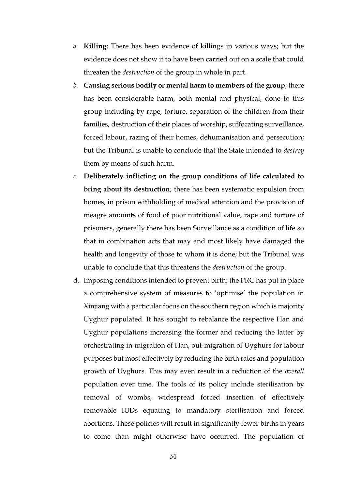- *a.* **Killing**; There has been evidence of killings in various ways; but the evidence does not show it to have been carried out on a scale that could threaten the *destruction* of the group in whole in part.
- *b.* **Causing serious bodily or mental harm to members of the group**; there has been considerable harm, both mental and physical, done to this group including by rape, torture, separation of the children from their families, destruction of their places of worship, suffocating surveillance, forced labour, razing of their homes, dehumanisation and persecution; but the Tribunal is unable to conclude that the State intended to *destroy* them by means of such harm.
- *c.* **Deliberately inflicting on the group conditions of life calculated to bring about its destruction**; there has been systematic expulsion from homes, in prison withholding of medical attention and the provision of meagre amounts of food of poor nutritional value, rape and torture of prisoners, generally there has been Surveillance as a condition of life so that in combination acts that may and most likely have damaged the health and longevity of those to whom it is done; but the Tribunal was unable to conclude that this threatens the *destruction* of the group.
- d. Imposing conditions intended to prevent birth; the PRC has put in place a comprehensive system of measures to 'optimise' the population in Xinjiang with a particular focus on the southern region which is majority Uyghur populated. It has sought to rebalance the respective Han and Uyghur populations increasing the former and reducing the latter by orchestrating in-migration of Han, out-migration of Uyghurs for labour purposes but most effectively by reducing the birth rates and population growth of Uyghurs. This may even result in a reduction of the *overall* population over time. The tools of its policy include sterilisation by removal of wombs, widespread forced insertion of effectively removable IUDs equating to mandatory sterilisation and forced abortions. These policies will result in significantly fewer births in years to come than might otherwise have occurred. The population of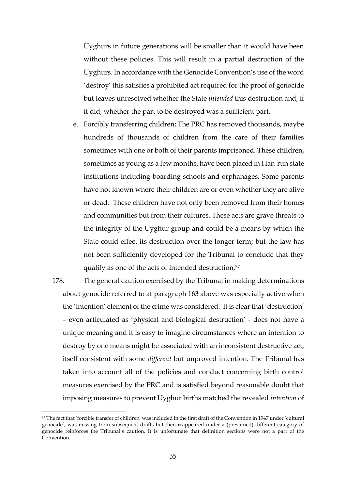Uyghurs in future generations will be smaller than it would have been without these policies. This will result in a partial destruction of the Uyghurs. In accordance with the Genocide Convention's use of the word 'destroy' this satisfies a prohibited act required for the proof of genocide but leaves unresolved whether the State *intended* this destruction and, if it did, whether the part to be destroyed was a sufficient part.

- e. Forcibly transferring children; The PRC has removed thousands, maybe hundreds of thousands of children from the care of their families sometimes with one or both of their parents imprisoned. These children, sometimes as young as a few months, have been placed in Han-run state institutions including boarding schools and orphanages. Some parents have not known where their children are or even whether they are alive or dead. These children have not only been removed from their homes and communities but from their cultures. These acts are grave threats to the integrity of the Uyghur group and could be a means by which the State could effect its destruction over the longer term; but the law has not been sufficiently developed for the Tribunal to conclude that they qualify as one of the acts of intended destruction.<sup>37</sup>
- 178. The general caution exercised by the Tribunal in making determinations about genocide referred to at paragraph 163 above was especially active when the 'intention' element of the crime was considered. It is clear that 'destruction' – even articulated as 'physical and biological destruction' - does not have a unique meaning and it is easy to imagine circumstances where an intention to destroy by one means might be associated with an inconsistent destructive act, itself consistent with some *different* but unproved intention. The Tribunal has taken into account all of the policies and conduct concerning birth control measures exercised by the PRC and is satisfied beyond reasonable doubt that imposing measures to prevent Uyghur births matched the revealed *intention* of

<sup>37</sup> The fact that 'forcible transfer of children' was included in the first draft of the Convention in 1947 under 'cultural genocide', was missing from subsequent drafts but then reappeared under a (presumed) different category of genocide reinforces the Tribunal's caution. It is unfortunate that definition sections were not a part of the Convention.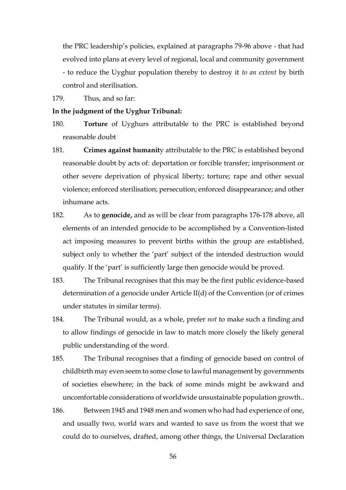the PRC leadership's policies, explained at paragraphs 79-96 above - that had evolved into plans at every level of regional, local and community government - to reduce the Uyghur population thereby to destroy it *to an extent* by birth control and sterilisation.

179. Thus, and so far:

#### **In the judgment of the Uyghur Tribunal:**

- 180. **Torture** of Uyghurs attributable to the PRC is established beyond reasonable doubt
- 181. **Crimes against humanit**y attributable to the PRC is established beyond reasonable doubt by acts of: deportation or forcible transfer; imprisonment or other severe deprivation of physical liberty; torture; rape and other sexual violence; enforced sterilisation; persecution; enforced disappearance; and other inhumane acts.
- 182. As to **genocide,** and as will be clear from paragraphs 176-178 above, all elements of an intended genocide to be accomplished by a Convention-listed act imposing measures to prevent births within the group are established, subject only to whether the 'part' subject of the intended destruction would qualify. If the 'part' is sufficiently large then genocide would be proved.
- 183. The Tribunal recognises that this may be the first public evidence-based determination of a genocide under Article II(d) of the Convention (or of crimes under statutes in similar terms).
- 184. The Tribunal would, as a whole, prefer *not* to make such a finding and to allow findings of genocide in law to match more closely the likely general public understanding of the word.
- 185. The Tribunal recognises that a finding of genocide based on control of childbirth may even seem to some close to lawful management by governments of societies elsewhere; in the back of some minds might be awkward and uncomfortable considerations of worldwide unsustainable population growth..
- 186. Between 1945 and 1948 men and women who had had experience of one, and usually two, world wars and wanted to save us from the worst that we could do to ourselves, drafted, among other things, the Universal Declaration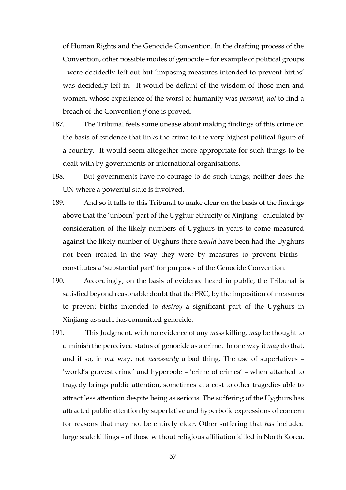of Human Rights and the Genocide Convention. In the drafting process of the Convention, other possible modes of genocide – for example of political groups - were decidedly left out but 'imposing measures intended to prevent births' was decidedly left in. It would be defiant of the wisdom of those men and women, whose experience of the worst of humanity was *personal*, *not* to find a breach of the Convention *if* one is proved.

- 187. The Tribunal feels some unease about making findings of this crime on the basis of evidence that links the crime to the very highest political figure of a country. It would seem altogether more appropriate for such things to be dealt with by governments or international organisations.
- 188. But governments have no courage to do such things; neither does the UN where a powerful state is involved.
- 189. And so it falls to this Tribunal to make clear on the basis of the findings above that the 'unborn' part of the Uyghur ethnicity of Xinjiang - calculated by consideration of the likely numbers of Uyghurs in years to come measured against the likely number of Uyghurs there *would* have been had the Uyghurs not been treated in the way they were by measures to prevent births constitutes a 'substantial part' for purposes of the Genocide Convention.
- 190. Accordingly, on the basis of evidence heard in public, the Tribunal is satisfied beyond reasonable doubt that the PRC, by the imposition of measures to prevent births intended to *destroy* a significant part of the Uyghurs in Xinjiang as such, has committed genocide.
- 191. This Judgment, with no evidence of any *mass* killing, *may* be thought to diminish the perceived status of genocide as a crime. In one way it *may* do that, and if so, in *one* way, not *necessarily* a bad thing. The use of superlatives – 'world's gravest crime' and hyperbole – 'crime of crimes' – when attached to tragedy brings public attention, sometimes at a cost to other tragedies able to attract less attention despite being as serious. The suffering of the Uyghurs has attracted public attention by superlative and hyperbolic expressions of concern for reasons that may not be entirely clear. Other suffering that *has* included large scale killings – of those without religious affiliation killed in North Korea,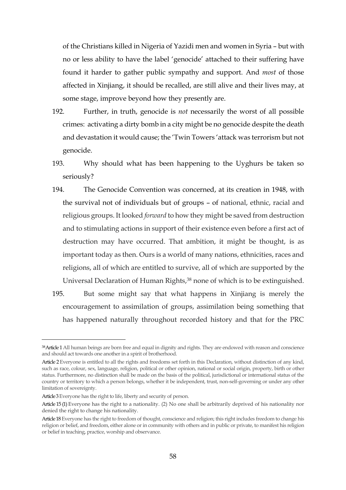of the Christians killed in Nigeria of Yazidi men and women in Syria – but with no or less ability to have the label 'genocide' attached to their suffering have found it harder to gather public sympathy and support. And *most* of those affected in Xinjiang, it should be recalled, are still alive and their lives may, at some stage, improve beyond how they presently are.

- 192. Further, in truth, genocide is *not* necessarily the worst of all possible crimes: activating a dirty bomb in a city might be no genocide despite the death and devastation it would cause; the 'Twin Towers 'attack was terrorism but not genocide.
- 193. Why should what has been happening to the Uyghurs be taken so seriously?
- 194. The Genocide Convention was concerned, at its creation in 1948, with the survival not of individuals but of groups – of national, ethnic, racial and religious groups. It looked *forward* to how they might be saved from destruction and to stimulating actions in support of their existence even before a first act of destruction may have occurred. That ambition, it might be thought, is as important today as then. Ours is a world of many nations, ethnicities, races and religions, all of which are entitled to survive, all of which are supported by the Universal Declaration of Human Rights,<sup>38</sup> none of which is to be extinguished.
- 195. But some might say that what happens in Xinjiang is merely the encouragement to assimilation of groups, assimilation being something that has happened naturally throughout recorded history and that for the PRC

<sup>38</sup> Article 1 All human beings are born free and equal in dignity and rights. They are endowed with reason and conscience and should act towards one another in a spirit of brotherhood.

Article 2 Everyone is entitled to all the rights and freedoms set forth in this Declaration, without distinction of any kind, such as race, colour, sex, language, religion, political or other opinion, national or social origin, property, birth or other status. Furthermore, no distinction shall be made on the basis of the political, jurisdictional or international status of the country or territory to which a person belongs, whether it be independent, trust, non-self-governing or under any other limitation of sovereignty.

Article 3 Everyone has the right to life, liberty and security of person.

Article 15 (1) Everyone has the right to a nationality. (2) No one shall be arbitrarily deprived of his nationality nor denied the right to change his nationality.

Article 18 Everyone has the right to freedom of thought, conscience and religion; this right includes freedom to change his religion or belief, and freedom, either alone or in community with others and in public or private, to manifest his religion or belief in teaching, practice, worship and observance.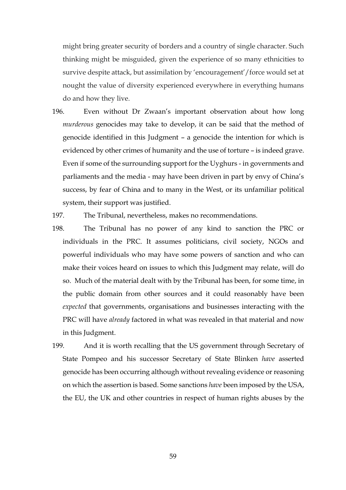might bring greater security of borders and a country of single character. Such thinking might be misguided, given the experience of so many ethnicities to survive despite attack, but assimilation by 'encouragement'/force would set at nought the value of diversity experienced everywhere in everything humans do and how they live.

- 196. Even without Dr Zwaan's important observation about how long *murderous* genocides may take to develop, it can be said that the method of genocide identified in this Judgment – a genocide the intention for which is evidenced by other crimes of humanity and the use of torture – is indeed grave. Even if some of the surrounding support for the Uyghurs - in governments and parliaments and the media - may have been driven in part by envy of China's success, by fear of China and to many in the West, or its unfamiliar political system, their support was justified.
- 197. The Tribunal, nevertheless, makes no recommendations.
- 198. The Tribunal has no power of any kind to sanction the PRC or individuals in the PRC. It assumes politicians, civil society, NGOs and powerful individuals who may have some powers of sanction and who can make their voices heard on issues to which this Judgment may relate, will do so. Much of the material dealt with by the Tribunal has been, for some time, in the public domain from other sources and it could reasonably have been *expected* that governments, organisations and businesses interacting with the PRC will have *already* factored in what was revealed in that material and now in this Judgment.
- 199. And it is worth recalling that the US government through Secretary of State Pompeo and his successor Secretary of State Blinken *have* asserted genocide has been occurring although without revealing evidence or reasoning on which the assertion is based. Some sanctions *have* been imposed by the USA, the EU, the UK and other countries in respect of human rights abuses by the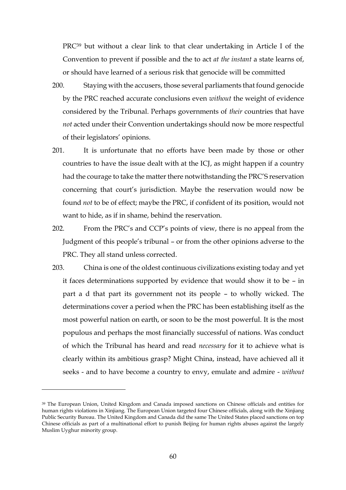PRC<sup>39</sup> but without a clear link to that clear undertaking in Article I of the Convention to prevent if possible and the to act *at the instant* a state learns of, or should have learned of a serious risk that genocide will be committed

- 200. Staying with the accusers, those several parliaments that found genocide by the PRC reached accurate conclusions even *without* the weight of evidence considered by the Tribunal. Perhaps governments of *their* countries that have *not* acted under their Convention undertakings should now be more respectful of their legislators' opinions.
- 201. It is unfortunate that no efforts have been made by those or other countries to have the issue dealt with at the ICJ, as might happen if a country had the courage to take the matter there notwithstanding the PRC'S reservation concerning that court's jurisdiction. Maybe the reservation would now be found *not* to be of effect; maybe the PRC, if confident of its position, would not want to hide, as if in shame, behind the reservation.
- 202. From the PRC's and CCP's points of view, there is no appeal from the Judgment of this people's tribunal – or from the other opinions adverse to the PRC. They all stand unless corrected.
- 203. China is one of the oldest continuous civilizations existing today and yet it faces determinations supported by evidence that would show it to be – in part a d that part its government not its people – to wholly wicked. The determinations cover a period when the PRC has been establishing itself as the most powerful nation on earth, or soon to be the most powerful. It is the most populous and perhaps the most financially successful of nations. Was conduct of which the Tribunal has heard and read *necessary* for it to achieve what is clearly within its ambitious grasp? Might China, instead, have achieved all it seeks - and to have become a country to envy, emulate and admire - *without*

<sup>39</sup> The European Union, United Kingdom and Canada imposed sanctions on Chinese officials and entities for human rights violations in Xinjiang. The European Union [targeted](https://www.consilium.europa.eu/en/press/press-releases/2021/03/22/eu-imposes-further-sanctions-over-serious-violations-of-human-rights-around-the-world/) four Chinese officials, along with the Xinjiang Public Security Bureau. The United [Kingdom](https://www.gov.uk/government/news/uk-sanctions-perpetrators-of-gross-human-rights-violations-in-xinjiang-alongside-eu-canada-and-us) and Canada did the same The United States placed sanctions on top Chinese officials as part of a multinational effort to punish Beijing for human rights abuses against the largely Muslim [Uyghur](https://www.nytimes.com/2021/04/01/world/asia/japan-uyghurs-xinjiang.html) minority group.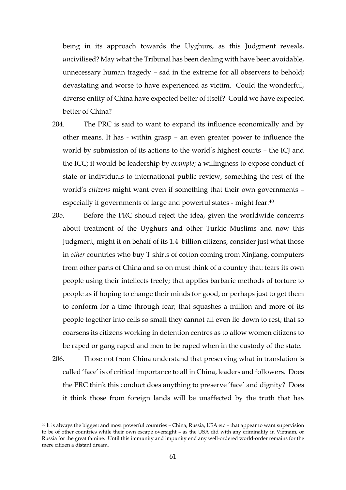being in its approach towards the Uyghurs, as this Judgment reveals, *un*civilised? May what the Tribunal has been dealing with have been avoidable, unnecessary human tragedy – sad in the extreme for all observers to behold; devastating and worse to have experienced as victim. Could the wonderful, diverse entity of China have expected better of itself? Could we have expected better of China?

- 204. The PRC is said to want to expand its influence economically and by other means. It has - within grasp – an even greater power to influence the world by submission of its actions to the world's highest courts – the ICJ and the ICC; it would be leadership by *example*; a willingness to expose conduct of state or individuals to international public review, something the rest of the world's *citizens* might want even if something that their own governments – especially if governments of large and powerful states - might fear.<sup>40</sup>
- 205. Before the PRC should reject the idea, given the worldwide concerns about treatment of the Uyghurs and other Turkic Muslims and now this Judgment, might it on behalf of its 1.4 billion citizens, consider just what those in *other* countries who buy T shirts of cotton coming from Xinjiang, computers from other parts of China and so on must think of a country that: fears its own people using their intellects freely; that applies barbaric methods of torture to people as if hoping to change their minds for good, or perhaps just to get them to conform for a time through fear; that squashes a million and more of its people together into cells so small they cannot all even lie down to rest; that so coarsens its citizens working in detention centres as to allow women citizens to be raped or gang raped and men to be raped when in the custody of the state.
- 206. Those not from China understand that preserving what in translation is called 'face' is of critical importance to all in China, leaders and followers. Does the PRC think this conduct does anything to preserve 'face' and dignity? Does it think those from foreign lands will be unaffected by the truth that has

<u>.</u>

<sup>40</sup> It is always the biggest and most powerful countries – China, Russia, USA etc – that appear to want supervision to be of other countries while their own escape oversight – as the USA did with any criminality in Vietnam, or Russia for the great famine. Until this immunity and impunity end any well-ordered world-order remains for the mere citizen a distant dream.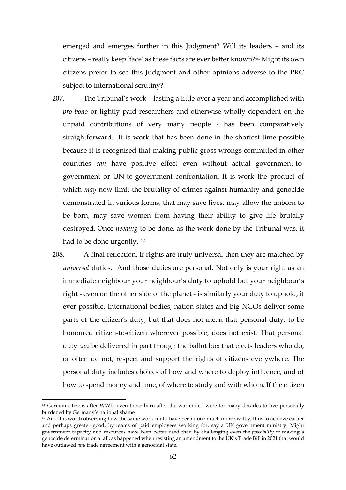emerged and emerges further in this Judgment? Will its leaders – and its citizens – really keep 'face' as these facts are ever better known?<sup>41</sup> Might its own citizens prefer to see this Judgment and other opinions adverse to the PRC subject to international scrutiny?

- 207. The Tribunal's work lasting a little over a year and accomplished with *pro bono* or lightly paid researchers and otherwise wholly dependent on the unpaid contributions of very many people - has been comparatively straightforward. It is work that has been done in the shortest time possible because it is recognised that making public gross wrongs committed in other countries *can* have positive effect even without actual government-togovernment or UN-to-government confrontation. It is work the product of which *may* now limit the brutality of crimes against humanity and genocide demonstrated in various forms, that may save lives, may allow the unborn to be born, may save women from having their ability to give life brutally destroyed. Once *needing* to be done, as the work done by the Tribunal was, it had to be done urgently. <sup>42</sup>
- 208. A final reflection. If rights are truly universal then they are matched by *universal* duties. And those duties are personal. Not only is your right as an immediate neighbour your neighbour's duty to uphold but your neighbour's right - even on the other side of the planet - is similarly your duty to uphold, if ever possible. International bodies, nation states and big NGOs deliver some parts of the citizen's duty, but that does not mean that personal duty, to be honoured citizen-to-citizen wherever possible, does not exist. That personal duty *can* be delivered in part though the ballot box that elects leaders who do, or often do not, respect and support the rights of citizens everywhere. The personal duty includes choices of how and where to deploy influence, and of how to spend money and time, of where to study and with whom. If the citizen

<sup>41</sup> German citizens after WWII, even those born after the war ended were for many decades to live personally burdened by Germany's national shame

<sup>42</sup> And it is worth observing how the same work could have been done much more swiftly, thus to achieve earlier and perhaps greater good, by teams of paid employees working for, say a UK government ministry. Might government capacity and resources have been better used than by challenging even the *possibility* of making a genocide determination at all, as happened when resisting an amendment to the UK's Trade Bill in 2021 that would have outlawed *any* trade agreement with a genocidal state.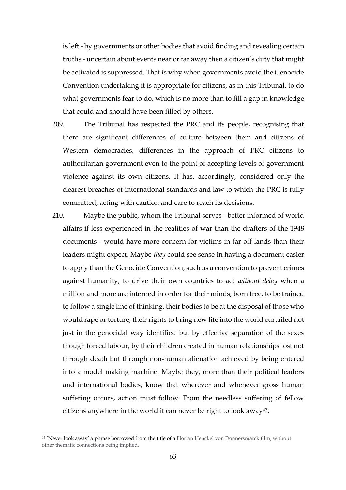is left - by governments or other bodies that avoid finding and revealing certain truths - uncertain about events near or far away then a citizen's duty that might be activated is suppressed. That is why when governments avoid the Genocide Convention undertaking it is appropriate for citizens, as in this Tribunal, to do what governments fear to do, which is no more than to fill a gap in knowledge that could and should have been filled by others.

- 209. The Tribunal has respected the PRC and its people, recognising that there are significant differences of culture between them and citizens of Western democracies, differences in the approach of PRC citizens to authoritarian government even to the point of accepting levels of government violence against its own citizens. It has, accordingly, considered only the clearest breaches of international standards and law to which the PRC is fully committed, acting with caution and care to reach its decisions.
- 210. Maybe the public, whom the Tribunal serves better informed of world affairs if less experienced in the realities of war than the drafters of the 1948 documents - would have more concern for victims in far off lands than their leaders might expect. Maybe *they* could see sense in having a document easier to apply than the Genocide Convention, such as a convention to prevent crimes against humanity, to drive their own countries to act *without delay* when a million and more are interned in order for their minds, born free, to be trained to follow a single line of thinking, their bodies to be at the disposal of those who would rape or torture, their rights to bring new life into the world curtailed not just in the genocidal way identified but by effective separation of the sexes though forced labour, by their children created in human relationships lost not through death but through non-human alienation achieved by being entered into a model making machine. Maybe they, more than their political leaders and international bodies, know that wherever and whenever gross human suffering occurs, action must follow. From the needless suffering of fellow citizens anywhere in the world it can never be right to look away43.

<sup>43</sup> 'Never look away' a phrase borrowed from the title of a Florian Henckel von Donnersmarck film, without other thematic connections being implied.